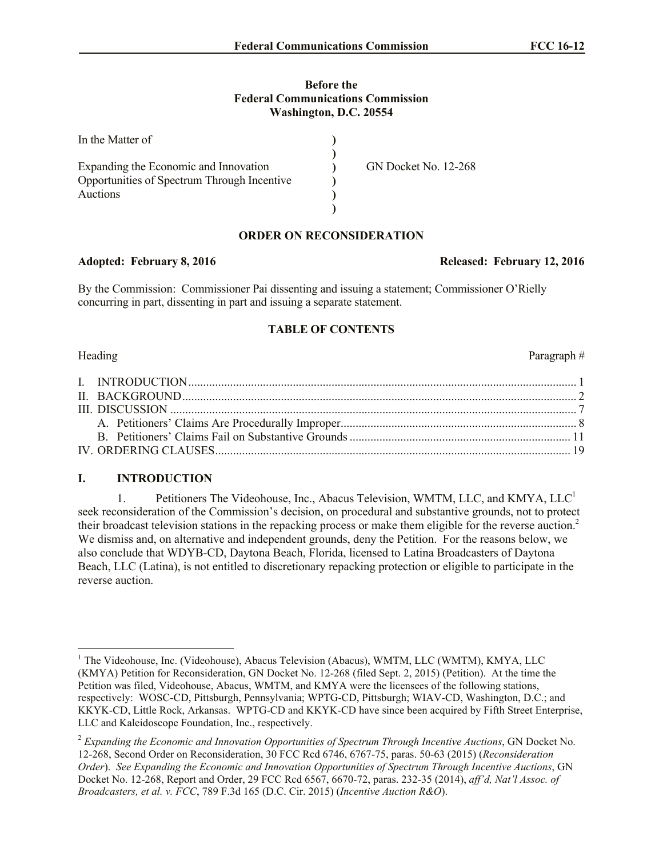## **Before the Federal Communications Commission Washington, D.C. 20554**

| In the Matter of                            |                      |
|---------------------------------------------|----------------------|
|                                             |                      |
| Expanding the Economic and Innovation       | GN Docket No. 12-268 |
| Opportunities of Spectrum Through Incentive |                      |
| <b>Auctions</b>                             |                      |
|                                             |                      |

# **ORDER ON RECONSIDERATION**

By the Commission: Commissioner Pai dissenting and issuing a statement; Commissioner O'Rielly concurring in part, dissenting in part and issuing a separate statement.

## **TABLE OF CONTENTS**

### Heading Paragraph  $#$

# **I. INTRODUCTION**

1. Petitioners The Videohouse, Inc., Abacus Television, WMTM, LLC, and KMYA, LLC<sup>1</sup> seek reconsideration of the Commission's decision, on procedural and substantive grounds, not to protect their broadcast television stations in the repacking process or make them eligible for the reverse auction.<sup>2</sup> We dismiss and, on alternative and independent grounds, deny the Petition. For the reasons below, we also conclude that WDYB-CD, Daytona Beach, Florida, licensed to Latina Broadcasters of Daytona Beach, LLC (Latina), is not entitled to discretionary repacking protection or eligible to participate in the reverse auction.

Adopted: February 8, 2016 **Released: February 12, 2016** 

 $\overline{a}$ <sup>1</sup> The Videohouse, Inc. (Videohouse), Abacus Television (Abacus), WMTM, LLC (WMTM), KMYA, LLC (KMYA) Petition for Reconsideration, GN Docket No. 12-268 (filed Sept. 2, 2015) (Petition). At the time the Petition was filed, Videohouse, Abacus, WMTM, and KMYA were the licensees of the following stations, respectively: WOSC-CD, Pittsburgh, Pennsylvania; WPTG-CD, Pittsburgh; WIAV-CD, Washington, D.C.; and KKYK-CD, Little Rock, Arkansas. WPTG-CD and KKYK-CD have since been acquired by Fifth Street Enterprise, LLC and Kaleidoscope Foundation, Inc., respectively.

<sup>2</sup> *Expanding the Economic and Innovation Opportunities of Spectrum Through Incentive Auctions*, GN Docket No. 12-268, Second Order on Reconsideration, 30 FCC Rcd 6746, 6767-75, paras. 50-63 (2015) (*Reconsideration Order*). *See Expanding the Economic and Innovation Opportunities of Spectrum Through Incentive Auctions*, GN Docket No. 12-268, Report and Order, 29 FCC Rcd 6567, 6670-72, paras. 232-35 (2014), *aff'd, Nat'l Assoc. of Broadcasters, et al. v. FCC*, 789 F.3d 165 (D.C. Cir. 2015) (*Incentive Auction R&O*).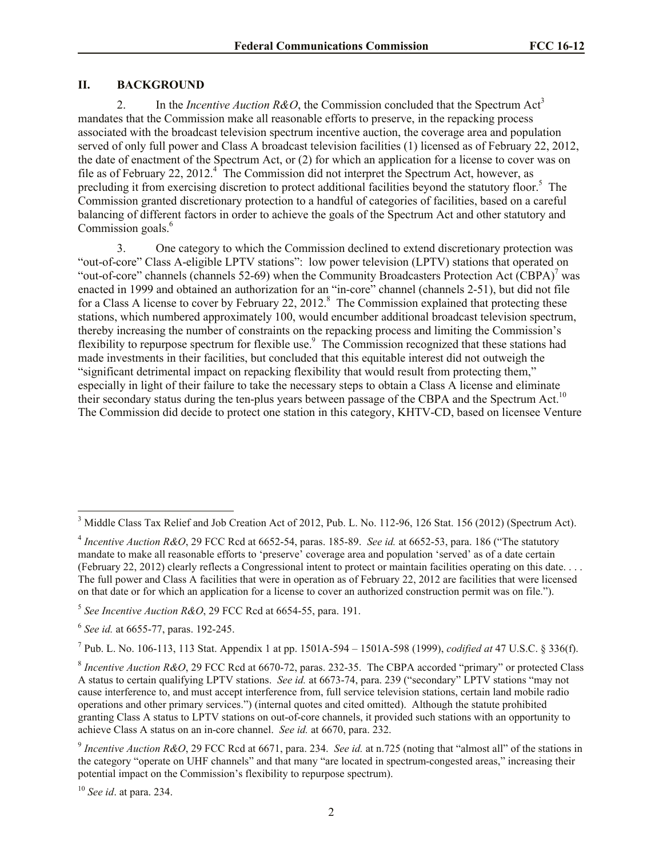## **II. BACKGROUND**

2. In the *Incentive Auction R&O*, the Commission concluded that the Spectrum Act<sup>3</sup> mandates that the Commission make all reasonable efforts to preserve, in the repacking process associated with the broadcast television spectrum incentive auction, the coverage area and population served of only full power and Class A broadcast television facilities (1) licensed as of February 22, 2012, the date of enactment of the Spectrum Act, or (2) for which an application for a license to cover was on file as of February 22, 2012.<sup>4</sup> The Commission did not interpret the Spectrum Act, however, as precluding it from exercising discretion to protect additional facilities beyond the statutory floor.<sup>5</sup> The Commission granted discretionary protection to a handful of categories of facilities, based on a careful balancing of different factors in order to achieve the goals of the Spectrum Act and other statutory and Commission goals.<sup>6</sup>

3. One category to which the Commission declined to extend discretionary protection was "out-of-core" Class A-eligible LPTV stations": low power television (LPTV) stations that operated on "out-of-core" channels (channels 52-69) when the Community Broadcasters Protection Act (CBPA)<sup>7</sup> was enacted in 1999 and obtained an authorization for an "in-core" channel (channels 2-51), but did not file for a Class A license to cover by February 22, 2012.<sup>8</sup> The Commission explained that protecting these stations, which numbered approximately 100, would encumber additional broadcast television spectrum, thereby increasing the number of constraints on the repacking process and limiting the Commission's flexibility to repurpose spectrum for flexible use.<sup>9</sup> The Commission recognized that these stations had made investments in their facilities, but concluded that this equitable interest did not outweigh the "significant detrimental impact on repacking flexibility that would result from protecting them," especially in light of their failure to take the necessary steps to obtain a Class A license and eliminate their secondary status during the ten-plus years between passage of the CBPA and the Spectrum Act.<sup>10</sup> The Commission did decide to protect one station in this category, KHTV-CD, based on licensee Venture

 $\overline{a}$ 

7 Pub. L. No. 106-113, 113 Stat. Appendix 1 at pp. 1501A-594 – 1501A-598 (1999), *codified at* 47 U.S.C. § 336(f).

<sup>10</sup> *See id*. at para. 234.

<sup>&</sup>lt;sup>3</sup> Middle Class Tax Relief and Job Creation Act of 2012, Pub. L. No. 112-96, 126 Stat. 156 (2012) (Spectrum Act).

<sup>4</sup> *Incentive Auction R&O*, 29 FCC Rcd at 6652-54, paras. 185-89. *See id.* at 6652-53, para. 186 ("The statutory mandate to make all reasonable efforts to 'preserve' coverage area and population 'served' as of a date certain (February 22, 2012) clearly reflects a Congressional intent to protect or maintain facilities operating on this date. . . . The full power and Class A facilities that were in operation as of February 22, 2012 are facilities that were licensed on that date or for which an application for a license to cover an authorized construction permit was on file.").

<sup>5</sup> *See Incentive Auction R&O*, 29 FCC Rcd at 6654-55, para. 191.

<sup>6</sup> *See id.* at 6655-77, paras. 192-245.

<sup>8</sup> *Incentive Auction R&O*, 29 FCC Rcd at 6670-72, paras. 232-35. The CBPA accorded "primary" or protected Class A status to certain qualifying LPTV stations. *See id.* at 6673-74, para. 239 ("secondary" LPTV stations "may not cause interference to, and must accept interference from, full service television stations, certain land mobile radio operations and other primary services.") (internal quotes and cited omitted). Although the statute prohibited granting Class A status to LPTV stations on out-of-core channels, it provided such stations with an opportunity to achieve Class A status on an in-core channel. *See id.* at 6670, para. 232.

<sup>9</sup> *Incentive Auction R&O*, 29 FCC Rcd at 6671, para. 234. *See id.* at n.725 (noting that "almost all" of the stations in the category "operate on UHF channels" and that many "are located in spectrum-congested areas," increasing their potential impact on the Commission's flexibility to repurpose spectrum).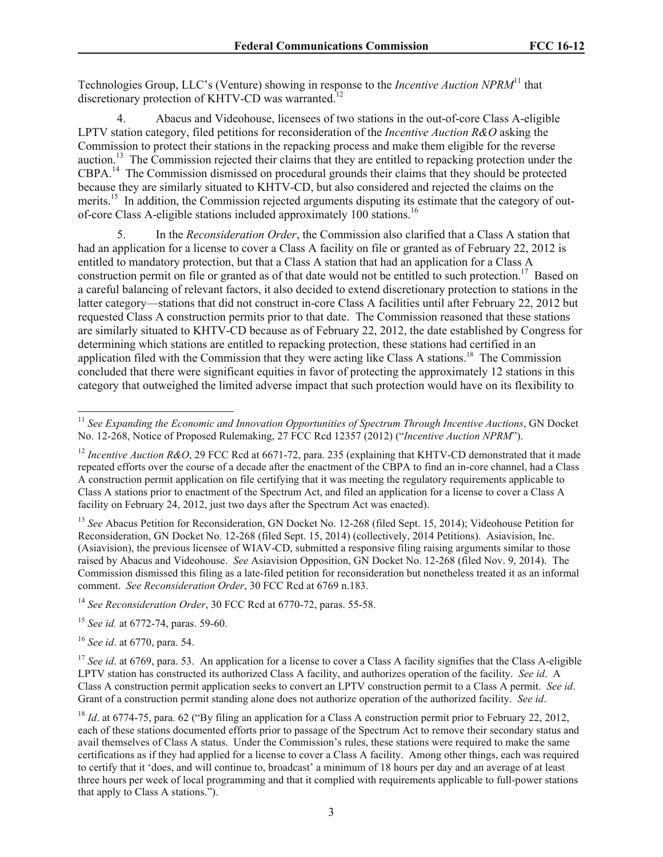Technologies Group, LLC's (Venture) showing in response to the *Incentive Auction NPRM*<sup>11</sup> that discretionary protection of KHTV-CD was warranted.<sup>12</sup>

4. Abacus and Videohouse, licensees of two stations in the out-of-core Class A-eligible LPTV station category, filed petitions for reconsideration of the *Incentive Auction R&O* asking the Commission to protect their stations in the repacking process and make them eligible for the reverse auction.<sup>13</sup> The Commission rejected their claims that they are entitled to repacking protection under the CBPA.<sup>14</sup> The Commission dismissed on procedural grounds their claims that they should be protected because they are similarly situated to KHTV-CD, but also considered and rejected the claims on the merits.<sup>15</sup> In addition, the Commission rejected arguments disputing its estimate that the category of outof-core Class A-eligible stations included approximately 100 stations.<sup>16</sup>

5. In the *Reconsideration Order*, the Commission also clarified that a Class A station that had an application for a license to cover a Class A facility on file or granted as of February 22, 2012 is entitled to mandatory protection, but that a Class A station that had an application for a Class A construction permit on file or granted as of that date would not be entitled to such protection.<sup>17</sup> Based on a careful balancing of relevant factors, it also decided to extend discretionary protection to stations in the latter category—stations that did not construct in-core Class A facilities until after February 22, 2012 but requested Class A construction permits prior to that date. The Commission reasoned that these stations are similarly situated to KHTV-CD because as of February 22, 2012, the date established by Congress for determining which stations are entitled to repacking protection, these stations had certified in an application filed with the Commission that they were acting like Class A stations.<sup>18</sup> The Commission concluded that there were significant equities in favor of protecting the approximately 12 stations in this category that outweighed the limited adverse impact that such protection would have on its flexibility to

<sup>13</sup> *See* Abacus Petition for Reconsideration, GN Docket No. 12-268 (filed Sept. 15, 2014); Videohouse Petition for Reconsideration, GN Docket No. 12-268 (filed Sept. 15, 2014) (collectively, 2014 Petitions). Asiavision, Inc. (Asiavision), the previous licensee of WIAV-CD, submitted a responsive filing raising arguments similar to those raised by Abacus and Videohouse. *See* Asiavision Opposition, GN Docket No. 12-268 (filed Nov. 9, 2014). The Commission dismissed this filing as a late-filed petition for reconsideration but nonetheless treated it as an informal comment. *See Reconsideration Order*, 30 FCC Rcd at 6769 n.183.

<sup>14</sup> *See Reconsideration Order*, 30 FCC Rcd at 6770-72, paras. 55-58.

<sup>15</sup> *See id.* at 6772-74, paras. 59-60.

<sup>16</sup> *See id*. at 6770, para. 54.

 $\overline{a}$ 

<sup>17</sup> *See id.* at 6769, para. 53. An application for a license to cover a Class A facility signifies that the Class A-eligible LPTV station has constructed its authorized Class A facility, and authorizes operation of the facility. *See id*. A Class A construction permit application seeks to convert an LPTV construction permit to a Class A permit. *See id*. Grant of a construction permit standing alone does not authorize operation of the authorized facility. *See id*.

<sup>18</sup> *Id.* at 6774-75, para. 62 ("By filing an application for a Class A construction permit prior to February 22, 2012, each of these stations documented efforts prior to passage of the Spectrum Act to remove their secondary status and avail themselves of Class A status. Under the Commission's rules, these stations were required to make the same certifications as if they had applied for a license to cover a Class A facility. Among other things, each was required to certify that it 'does, and will continue to, broadcast' a minimum of 18 hours per day and an average of at least three hours per week of local programming and that it complied with requirements applicable to full-power stations that apply to Class A stations.").

<sup>&</sup>lt;sup>11</sup> See Expanding the Economic and Innovation Opportunities of Spectrum Through Incentive Auctions, GN Docket No. 12-268, Notice of Proposed Rulemaking, 27 FCC Rcd 12357 (2012) ("*Incentive Auction NPRM*").

<sup>&</sup>lt;sup>12</sup> *Incentive Auction R&O*, 29 FCC Rcd at 6671-72, para. 235 (explaining that KHTV-CD demonstrated that it made repeated efforts over the course of a decade after the enactment of the CBPA to find an in-core channel, had a Class A construction permit application on file certifying that it was meeting the regulatory requirements applicable to Class A stations prior to enactment of the Spectrum Act, and filed an application for a license to cover a Class A facility on February 24, 2012, just two days after the Spectrum Act was enacted).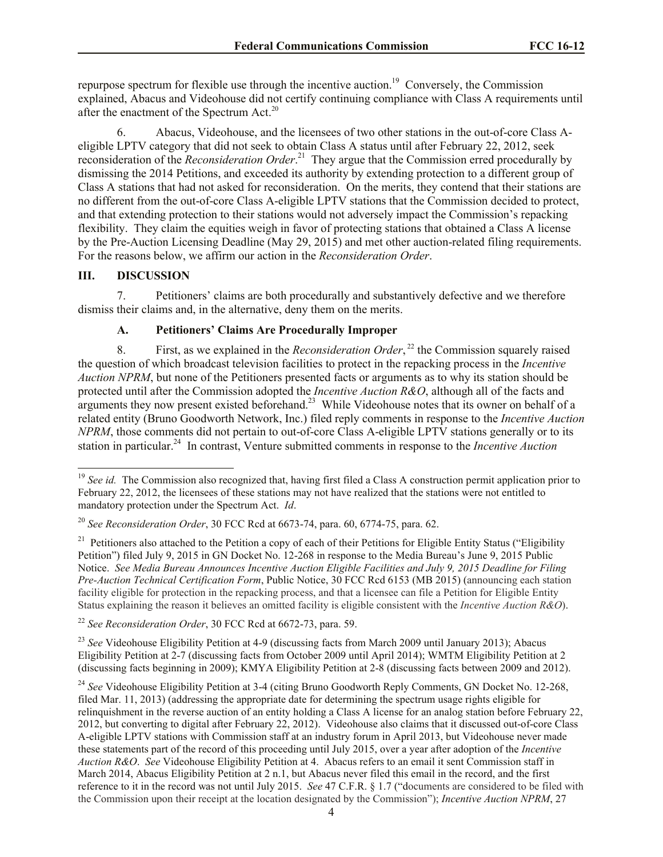repurpose spectrum for flexible use through the incentive auction.<sup>19</sup> Conversely, the Commission explained, Abacus and Videohouse did not certify continuing compliance with Class A requirements until after the enactment of the Spectrum Act.<sup>20</sup>

6. Abacus, Videohouse, and the licensees of two other stations in the out-of-core Class Aeligible LPTV category that did not seek to obtain Class A status until after February 22, 2012, seek reconsideration of the *Reconsideration Order*. 21 They argue that the Commission erred procedurally by dismissing the 2014 Petitions, and exceeded its authority by extending protection to a different group of Class A stations that had not asked for reconsideration. On the merits, they contend that their stations are no different from the out-of-core Class A-eligible LPTV stations that the Commission decided to protect, and that extending protection to their stations would not adversely impact the Commission's repacking flexibility. They claim the equities weigh in favor of protecting stations that obtained a Class A license by the Pre-Auction Licensing Deadline (May 29, 2015) and met other auction-related filing requirements. For the reasons below, we affirm our action in the *Reconsideration Order*.

# **III. DISCUSSION**

 $\overline{a}$ 

7. Petitioners' claims are both procedurally and substantively defective and we therefore dismiss their claims and, in the alternative, deny them on the merits.

# **A. Petitioners' Claims Are Procedurally Improper**

8. First, as we explained in the *Reconsideration Order*, <sup>22</sup> the Commission squarely raised the question of which broadcast television facilities to protect in the repacking process in the *Incentive Auction NPRM*, but none of the Petitioners presented facts or arguments as to why its station should be protected until after the Commission adopted the *Incentive Auction R&O*, although all of the facts and arguments they now present existed beforehand.<sup>23</sup> While Videohouse notes that its owner on behalf of a related entity (Bruno Goodworth Network, Inc.) filed reply comments in response to the *Incentive Auction NPRM*, those comments did not pertain to out-of-core Class A-eligible LPTV stations generally or to its station in particular.<sup>24</sup> In contrast, Venture submitted comments in response to the *Incentive Auction* 

<sup>22</sup> *See Reconsideration Order*, 30 FCC Rcd at 6672-73, para. 59.

<sup>23</sup> See Videohouse Eligibility Petition at 4-9 (discussing facts from March 2009 until January 2013); Abacus Eligibility Petition at 2-7 (discussing facts from October 2009 until April 2014); WMTM Eligibility Petition at 2 (discussing facts beginning in 2009); KMYA Eligibility Petition at 2-8 (discussing facts between 2009 and 2012).

<sup>&</sup>lt;sup>19</sup> *See id.* The Commission also recognized that, having first filed a Class A construction permit application prior to February 22, 2012, the licensees of these stations may not have realized that the stations were not entitled to mandatory protection under the Spectrum Act. *Id*.

<sup>20</sup> *See Reconsideration Order*, 30 FCC Rcd at 6673-74, para. 60, 6774-75, para. 62.

<sup>&</sup>lt;sup>21</sup> Petitioners also attached to the Petition a copy of each of their Petitions for Eligible Entity Status ("Eligibility Petition") filed July 9, 2015 in GN Docket No. 12-268 in response to the Media Bureau's June 9, 2015 Public Notice. *See Media Bureau Announces Incentive Auction Eligible Facilities and July 9, 2015 Deadline for Filing Pre-Auction Technical Certification Form*, Public Notice, 30 FCC Rcd 6153 (MB 2015) (announcing each station facility eligible for protection in the repacking process, and that a licensee can file a Petition for Eligible Entity Status explaining the reason it believes an omitted facility is eligible consistent with the *Incentive Auction R&O*).

<sup>&</sup>lt;sup>24</sup> See Videohouse Eligibility Petition at 3-4 (citing Bruno Goodworth Reply Comments, GN Docket No. 12-268, filed Mar. 11, 2013) (addressing the appropriate date for determining the spectrum usage rights eligible for relinquishment in the reverse auction of an entity holding a Class A license for an analog station before February 22, 2012, but converting to digital after February 22, 2012). Videohouse also claims that it discussed out-of-core Class A-eligible LPTV stations with Commission staff at an industry forum in April 2013, but Videohouse never made these statements part of the record of this proceeding until July 2015, over a year after adoption of the *Incentive Auction R&O*. *See* Videohouse Eligibility Petition at 4. Abacus refers to an email it sent Commission staff in March 2014, Abacus Eligibility Petition at 2 n.1, but Abacus never filed this email in the record, and the first reference to it in the record was not until July 2015. *See* 47 C.F.R. § 1.7 ("documents are considered to be filed with the Commission upon their receipt at the location designated by the Commission"); *Incentive Auction NPRM*, 27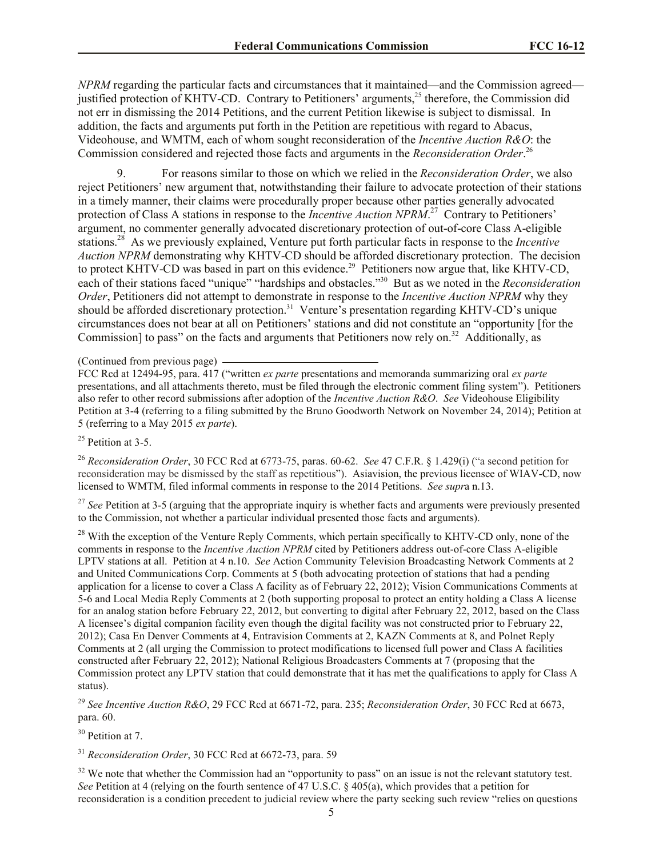*NPRM* regarding the particular facts and circumstances that it maintained—and the Commission agreed justified protection of KHTV-CD. Contrary to Petitioners' arguments,<sup>25</sup> therefore, the Commission did not err in dismissing the 2014 Petitions, and the current Petition likewise is subject to dismissal. In addition, the facts and arguments put forth in the Petition are repetitious with regard to Abacus, Videohouse, and WMTM, each of whom sought reconsideration of the *Incentive Auction R&O*: the Commission considered and rejected those facts and arguments in the *Reconsideration Order*. 26

9. For reasons similar to those on which we relied in the *Reconsideration Order*, we also reject Petitioners' new argument that, notwithstanding their failure to advocate protection of their stations in a timely manner, their claims were procedurally proper because other parties generally advocated protection of Class A stations in response to the *Incentive Auction NPRM*<sup>27</sup> Contrary to Petitioners' argument, no commenter generally advocated discretionary protection of out-of-core Class A-eligible stations.<sup>28</sup> As we previously explained, Venture put forth particular facts in response to the *Incentive Auction NPRM* demonstrating why KHTV-CD should be afforded discretionary protection. The decision to protect KHTV-CD was based in part on this evidence.<sup>29</sup> Petitioners now argue that, like KHTV-CD, each of their stations faced "unique" "hardships and obstacles."<sup>30</sup> But as we noted in the *Reconsideration Order*, Petitioners did not attempt to demonstrate in response to the *Incentive Auction NPRM* why they should be afforded discretionary protection.<sup>31</sup> Venture's presentation regarding KHTV-CD's unique circumstances does not bear at all on Petitioners' stations and did not constitute an "opportunity [for the Commission] to pass" on the facts and arguments that Petitioners now rely on.<sup>32</sup> Additionally, as

 $25$  Petition at 3-5.

<sup>26</sup> *Reconsideration Order*, 30 FCC Rcd at 6773-75, paras. 60-62. *See* 47 C.F.R. § 1.429(i) ("a second petition for reconsideration may be dismissed by the staff as repetitious"). Asiavision, the previous licensee of WIAV-CD, now licensed to WMTM, filed informal comments in response to the 2014 Petitions. *See supr*a n.13.

<sup>27</sup> See Petition at 3-5 (arguing that the appropriate inquiry is whether facts and arguments were previously presented to the Commission, not whether a particular individual presented those facts and arguments).

<sup>28</sup> With the exception of the Venture Reply Comments, which pertain specifically to KHTV-CD only, none of the comments in response to the *Incentive Auction NPRM* cited by Petitioners address out-of-core Class A-eligible LPTV stations at all. Petition at 4 n.10. *See* Action Community Television Broadcasting Network Comments at 2 and United Communications Corp. Comments at 5 (both advocating protection of stations that had a pending application for a license to cover a Class A facility as of February 22, 2012); Vision Communications Comments at 5-6 and Local Media Reply Comments at 2 (both supporting proposal to protect an entity holding a Class A license for an analog station before February 22, 2012, but converting to digital after February 22, 2012, based on the Class A licensee's digital companion facility even though the digital facility was not constructed prior to February 22, 2012); Casa En Denver Comments at 4, Entravision Comments at 2, KAZN Comments at 8, and Polnet Reply Comments at 2 (all urging the Commission to protect modifications to licensed full power and Class A facilities constructed after February 22, 2012); National Religious Broadcasters Comments at 7 (proposing that the Commission protect any LPTV station that could demonstrate that it has met the qualifications to apply for Class A status).

<sup>29</sup> *See Incentive Auction R&O*, 29 FCC Rcd at 6671-72, para. 235; *Reconsideration Order*, 30 FCC Rcd at 6673, para. 60.

<sup>30</sup> Petition at 7.

<sup>31</sup> *Reconsideration Order*, 30 FCC Rcd at 6672-73, para. 59

 $32$  We note that whether the Commission had an "opportunity to pass" on an issue is not the relevant statutory test. *See* Petition at 4 (relying on the fourth sentence of 47 U.S.C. § 405(a), which provides that a petition for reconsideration is a condition precedent to judicial review where the party seeking such review "relies on questions

<sup>(</sup>Continued from previous page)

FCC Rcd at 12494-95, para. 417 ("written *ex parte* presentations and memoranda summarizing oral *ex parte*  presentations, and all attachments thereto, must be filed through the electronic comment filing system"). Petitioners also refer to other record submissions after adoption of the *Incentive Auction R&O*. *See* Videohouse Eligibility Petition at 3-4 (referring to a filing submitted by the Bruno Goodworth Network on November 24, 2014); Petition at 5 (referring to a May 2015 *ex parte*).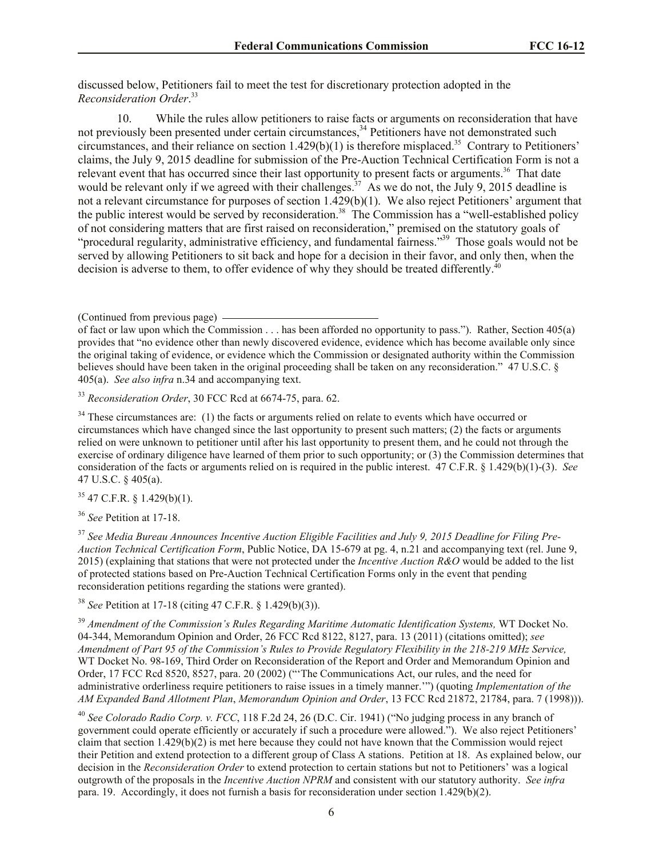discussed below, Petitioners fail to meet the test for discretionary protection adopted in the *Reconsideration Order*. 33

10. While the rules allow petitioners to raise facts or arguments on reconsideration that have not previously been presented under certain circumstances,<sup>34</sup> Petitioners have not demonstrated such circumstances, and their reliance on section  $1.429(b)(1)$  is therefore misplaced.<sup>35</sup> Contrary to Petitioners' claims, the July 9, 2015 deadline for submission of the Pre-Auction Technical Certification Form is not a relevant event that has occurred since their last opportunity to present facts or arguments.<sup>36</sup> That date would be relevant only if we agreed with their challenges.<sup>37</sup> As we do not, the July 9, 2015 deadline is not a relevant circumstance for purposes of section 1.429(b)(1). We also reject Petitioners' argument that the public interest would be served by reconsideration.<sup>38</sup> The Commission has a "well-established policy of not considering matters that are first raised on reconsideration," premised on the statutory goals of "procedural regularity, administrative efficiency, and fundamental fairness."<sup>39</sup> Those goals would not be served by allowing Petitioners to sit back and hope for a decision in their favor, and only then, when the decision is adverse to them, to offer evidence of why they should be treated differently.<sup>40</sup>

<sup>33</sup> *Reconsideration Order*, 30 FCC Rcd at 6674-75, para. 62.

<sup>34</sup> These circumstances are: (1) the facts or arguments relied on relate to events which have occurred or circumstances which have changed since the last opportunity to present such matters; (2) the facts or arguments relied on were unknown to petitioner until after his last opportunity to present them, and he could not through the exercise of ordinary diligence have learned of them prior to such opportunity; or (3) the Commission determines that consideration of the facts or arguments relied on is required in the public interest. 47 C.F.R. § 1.429(b)(1)-(3). *See*  47 U.S.C. § 405(a).

 $35$  47 C.F.R. § 1.429(b)(1).

<sup>36</sup> *See* Petition at 17-18.

<sup>37</sup> *See Media Bureau Announces Incentive Auction Eligible Facilities and July 9, 2015 Deadline for Filing Pre-Auction Technical Certification Form*, Public Notice, DA 15-679 at pg. 4, n.21 and accompanying text (rel. June 9, 2015) (explaining that stations that were not protected under the *Incentive Auction R&O* would be added to the list of protected stations based on Pre-Auction Technical Certification Forms only in the event that pending reconsideration petitions regarding the stations were granted).

<sup>38</sup> *See* Petition at 17-18 (citing 47 C.F.R. § 1.429(b)(3)).

<sup>39</sup> Amendment of the Commission's Rules Regarding Maritime Automatic Identification Systems, WT Docket No. 04-344, Memorandum Opinion and Order, 26 FCC Rcd 8122, 8127, para. 13 (2011) (citations omitted); *see Amendment of Part 95 of the Commission's Rules to Provide Regulatory Flexibility in the 218-219 MHz Service,*  WT Docket No. 98-169, Third Order on Reconsideration of the Report and Order and Memorandum Opinion and Order, 17 FCC Rcd 8520, 8527, para. 20 (2002) ("'The Communications Act, our rules, and the need for administrative orderliness require petitioners to raise issues in a timely manner.'") (quoting *Implementation of the AM Expanded Band Allotment Plan*, *Memorandum Opinion and Order*, 13 FCC Rcd 21872, 21784, para. 7 (1998))).

<sup>40</sup> *See Colorado Radio Corp. v. FCC*, 118 F.2d 24, 26 (D.C. Cir. 1941) ("No judging process in any branch of government could operate efficiently or accurately if such a procedure were allowed."). We also reject Petitioners' claim that section 1.429(b)(2) is met here because they could not have known that the Commission would reject their Petition and extend protection to a different group of Class A stations. Petition at 18. As explained below, our decision in the *Reconsideration Order* to extend protection to certain stations but not to Petitioners' was a logical outgrowth of the proposals in the *Incentive Auction NPRM* and consistent with our statutory authority. *See infra* para. 19. Accordingly, it does not furnish a basis for reconsideration under section 1.429(b)(2).

<sup>(</sup>Continued from previous page)

of fact or law upon which the Commission . . . has been afforded no opportunity to pass."). Rather, Section 405(a) provides that "no evidence other than newly discovered evidence, evidence which has become available only since the original taking of evidence, or evidence which the Commission or designated authority within the Commission believes should have been taken in the original proceeding shall be taken on any reconsideration." 47 U.S.C. § 405(a). *See also infra* n.34 and accompanying text.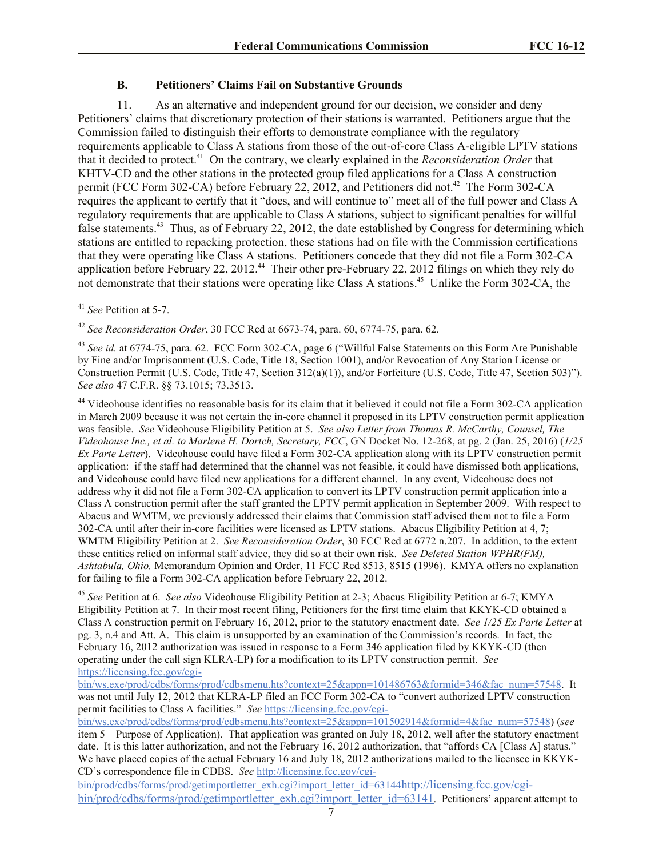# **B. Petitioners' Claims Fail on Substantive Grounds**

11. As an alternative and independent ground for our decision, we consider and deny Petitioners' claims that discretionary protection of their stations is warranted. Petitioners argue that the Commission failed to distinguish their efforts to demonstrate compliance with the regulatory requirements applicable to Class A stations from those of the out-of-core Class A-eligible LPTV stations that it decided to protect. 41 On the contrary, we clearly explained in the *Reconsideration Order* that KHTV-CD and the other stations in the protected group filed applications for a Class A construction permit (FCC Form 302-CA) before February 22, 2012, and Petitioners did not.<sup>42</sup> The Form 302-CA requires the applicant to certify that it "does, and will continue to" meet all of the full power and Class A regulatory requirements that are applicable to Class A stations, subject to significant penalties for willful false statements.<sup>43</sup> Thus, as of February 22, 2012, the date established by Congress for determining which stations are entitled to repacking protection, these stations had on file with the Commission certifications that they were operating like Class A stations. Petitioners concede that they did not file a Form 302-CA application before February 22, 2012.<sup>44</sup> Their other pre-February 22, 2012 filings on which they rely do not demonstrate that their stations were operating like Class A stations.<sup>45</sup> Unlike the Form 302-CA, the

<sup>42</sup> *See Reconsideration Order*, 30 FCC Rcd at 6673-74, para. 60, 6774-75, para. 62.

<sup>43</sup> *See id.* at 6774-75, para. 62. FCC Form 302-CA, page 6 ("Willful False Statements on this Form Are Punishable by Fine and/or Imprisonment (U.S. Code, Title 18, Section 1001), and/or Revocation of Any Station License or Construction Permit (U.S. Code, Title 47, Section 312(a)(1)), and/or Forfeiture (U.S. Code, Title 47, Section 503)"). *See also* 47 C.F.R. §§ 73.1015; 73.3513.

<sup>44</sup> Videohouse identifies no reasonable basis for its claim that it believed it could not file a Form 302-CA application in March 2009 because it was not certain the in-core channel it proposed in its LPTV construction permit application was feasible. *See* Videohouse Eligibility Petition at 5. *See also Letter from Thomas R. McCarthy, Counsel, The Videohouse Inc., et al. to Marlene H. Dortch, Secretary, FCC*, GN Docket No. 12-268, at pg. 2 (Jan. 25, 2016) (*1/25 Ex Parte Letter*). Videohouse could have filed a Form 302-CA application along with its LPTV construction permit application: if the staff had determined that the channel was not feasible, it could have dismissed both applications, and Videohouse could have filed new applications for a different channel. In any event, Videohouse does not address why it did not file a Form 302-CA application to convert its LPTV construction permit application into a Class A construction permit after the staff granted the LPTV permit application in September 2009. With respect to Abacus and WMTM, we previously addressed their claims that Commission staff advised them not to file a Form 302-CA until after their in-core facilities were licensed as LPTV stations. Abacus Eligibility Petition at 4, 7; WMTM Eligibility Petition at 2. *See Reconsideration Order*, 30 FCC Rcd at 6772 n.207. In addition, to the extent these entities relied on informal staff advice, they did so at their own risk. *See Deleted Station WPHR(FM), Ashtabula, Ohio,* Memorandum Opinion and Order, 11 FCC Rcd 8513, 8515 (1996). KMYA offers no explanation for failing to file a Form 302-CA application before February 22, 2012.

<sup>45</sup> *See* Petition at 6. *See also* Videohouse Eligibility Petition at 2-3; Abacus Eligibility Petition at 6-7; KMYA Eligibility Petition at 7. In their most recent filing, Petitioners for the first time claim that KKYK-CD obtained a Class A construction permit on February 16, 2012, prior to the statutory enactment date. *See 1/25 Ex Parte Letter* at pg. 3, n.4 and Att. A. This claim is unsupported by an examination of the Commission's records. In fact, the February 16, 2012 authorization was issued in response to a Form 346 application filed by KKYK-CD (then operating under the call sign KLRA-LP) for a modification to its LPTV construction permit. *See*  https://licensing.fcc.gov/cgi-

bin/ws.exe/prod/cdbs/forms/prod/cdbsmenu.hts?context=25&appn=101486763&formid=346&fac\_num=57548. It was not until July 12, 2012 that KLRA-LP filed an FCC Form 302-CA to "convert authorized LPTV construction permit facilities to Class A facilities." *See* https://licensing.fcc.gov/cgi-

bin/ws.exe/prod/cdbs/forms/prod/cdbsmenu.hts?context=25&appn=101502914&formid=4&fac\_num=57548) (*see* item 5 – Purpose of Application). That application was granted on July 18, 2012, well after the statutory enactment date. It is this latter authorization, and not the February 16, 2012 authorization, that "affords CA [Class A] status." We have placed copies of the actual February 16 and July 18, 2012 authorizations mailed to the licensee in KKYK-CD's correspondence file in CDBS. *See* http://licensing.fcc.gov/cgi-

bin/prod/cdbs/forms/prod/getimportletter\_exh.cgi?import\_letter\_id=63144http://licensing.fcc.gov/cgibin/prod/cdbs/forms/prod/getimportletter\_exh.cgi?import\_letter\_id=63141. Petitioners' apparent attempt to

 $\overline{\phantom{a}}$ <sup>41</sup> *See* Petition at 5-7.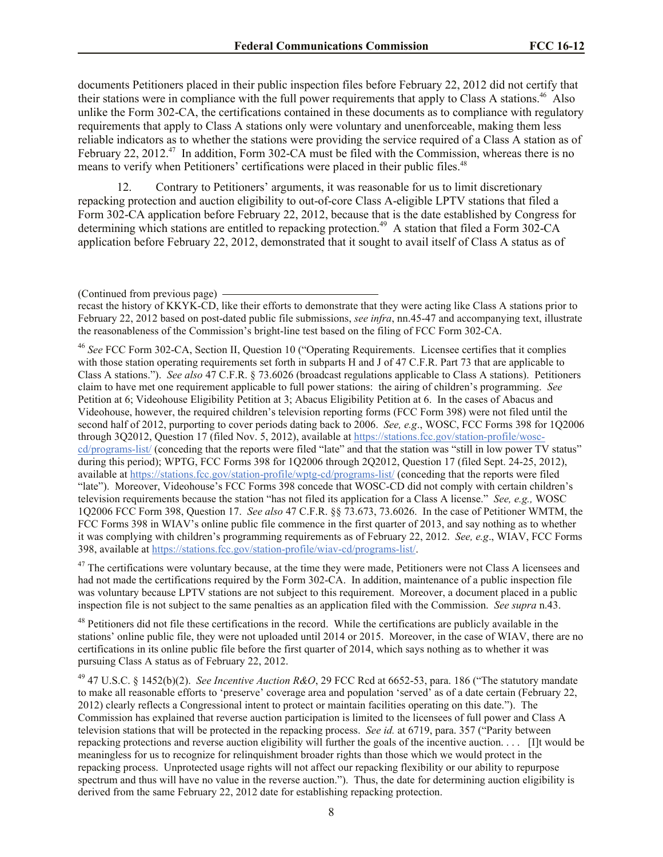documents Petitioners placed in their public inspection files before February 22, 2012 did not certify that their stations were in compliance with the full power requirements that apply to Class A stations.<sup>46</sup> Also unlike the Form 302-CA, the certifications contained in these documents as to compliance with regulatory requirements that apply to Class A stations only were voluntary and unenforceable, making them less reliable indicators as to whether the stations were providing the service required of a Class A station as of February 22, 2012.<sup>47</sup> In addition, Form 302-CA must be filed with the Commission, whereas there is no means to verify when Petitioners' certifications were placed in their public files.<sup>48</sup>

12. Contrary to Petitioners' arguments, it was reasonable for us to limit discretionary repacking protection and auction eligibility to out-of-core Class A-eligible LPTV stations that filed a Form 302-CA application before February 22, 2012, because that is the date established by Congress for determining which stations are entitled to repacking protection.<sup>49</sup> A station that filed a Form 302-CA application before February 22, 2012, demonstrated that it sought to avail itself of Class A status as of

<sup>46</sup> *See* FCC Form 302-CA, Section II, Question 10 ("Operating Requirements. Licensee certifies that it complies with those station operating requirements set forth in subparts H and J of 47 C.F.R. Part 73 that are applicable to Class A stations."). *See also* 47 C.F.R. § 73.6026 (broadcast regulations applicable to Class A stations). Petitioners claim to have met one requirement applicable to full power stations: the airing of children's programming. *See* Petition at 6; Videohouse Eligibility Petition at 3; Abacus Eligibility Petition at 6. In the cases of Abacus and Videohouse, however, the required children's television reporting forms (FCC Form 398) were not filed until the second half of 2012, purporting to cover periods dating back to 2006. *See, e.g*., WOSC, FCC Forms 398 for 1Q2006 through 3Q2012, Question 17 (filed Nov. 5, 2012), available at https://stations.fcc.gov/station-profile/wosccd/programs-list/ (conceding that the reports were filed "late" and that the station was "still in low power TV status" during this period); WPTG, FCC Forms 398 for 1Q2006 through 2Q2012, Question 17 (filed Sept. 24-25, 2012), available at https://stations.fcc.gov/station-profile/wptg-cd/programs-list/ (conceding that the reports were filed "late"). Moreover, Videohouse's FCC Forms 398 concede that WOSC-CD did not comply with certain children's television requirements because the station "has not filed its application for a Class A license." *See, e.g.,* WOSC 1Q2006 FCC Form 398, Question 17. *See also* 47 C.F.R. §§ 73.673, 73.6026. In the case of Petitioner WMTM, the FCC Forms 398 in WIAV's online public file commence in the first quarter of 2013, and say nothing as to whether it was complying with children's programming requirements as of February 22, 2012. *See, e.g*., WIAV, FCC Forms 398, available at https://stations.fcc.gov/station-profile/wiav-cd/programs-list/.

<sup>47</sup> The certifications were voluntary because, at the time they were made, Petitioners were not Class A licensees and had not made the certifications required by the Form 302-CA. In addition, maintenance of a public inspection file was voluntary because LPTV stations are not subject to this requirement. Moreover, a document placed in a public inspection file is not subject to the same penalties as an application filed with the Commission. *See supra* n.43.

<sup>48</sup> Petitioners did not file these certifications in the record. While the certifications are publicly available in the stations' online public file, they were not uploaded until 2014 or 2015. Moreover, in the case of WIAV, there are no certifications in its online public file before the first quarter of 2014, which says nothing as to whether it was pursuing Class A status as of February 22, 2012.

<sup>49</sup> 47 U.S.C. § 1452(b)(2). *See Incentive Auction R&O*, 29 FCC Rcd at 6652-53, para. 186 ("The statutory mandate to make all reasonable efforts to 'preserve' coverage area and population 'served' as of a date certain (February 22, 2012) clearly reflects a Congressional intent to protect or maintain facilities operating on this date."). The Commission has explained that reverse auction participation is limited to the licensees of full power and Class A television stations that will be protected in the repacking process. *See id.* at 6719, para. 357 ("Parity between repacking protections and reverse auction eligibility will further the goals of the incentive auction. . . . [I]t would be meaningless for us to recognize for relinquishment broader rights than those which we would protect in the repacking process. Unprotected usage rights will not affect our repacking flexibility or our ability to repurpose spectrum and thus will have no value in the reverse auction."). Thus, the date for determining auction eligibility is derived from the same February 22, 2012 date for establishing repacking protection.

<sup>(</sup>Continued from previous page)

recast the history of KKYK-CD, like their efforts to demonstrate that they were acting like Class A stations prior to February 22, 2012 based on post-dated public file submissions, *see infra*, nn.45-47 and accompanying text, illustrate the reasonableness of the Commission's bright-line test based on the filing of FCC Form 302-CA.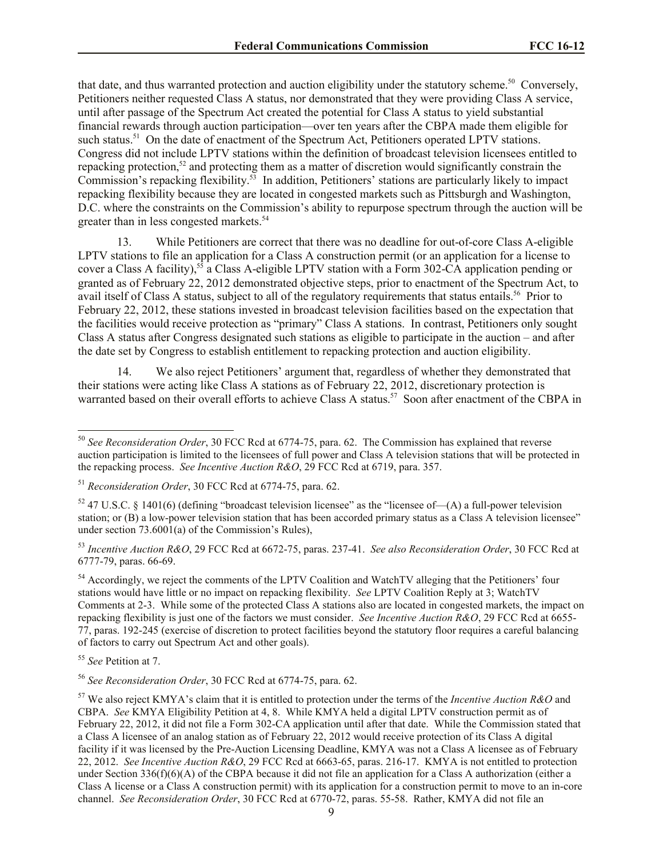that date, and thus warranted protection and auction eligibility under the statutory scheme.<sup>50</sup> Conversely, Petitioners neither requested Class A status, nor demonstrated that they were providing Class A service, until after passage of the Spectrum Act created the potential for Class A status to yield substantial financial rewards through auction participation—over ten years after the CBPA made them eligible for such status.<sup>51</sup> On the date of enactment of the Spectrum Act, Petitioners operated LPTV stations. Congress did not include LPTV stations within the definition of broadcast television licensees entitled to repacking protection,<sup>52</sup> and protecting them as a matter of discretion would significantly constrain the Commission's repacking flexibility.<sup>53</sup> In addition, Petitioners' stations are particularly likely to impact repacking flexibility because they are located in congested markets such as Pittsburgh and Washington, D.C. where the constraints on the Commission's ability to repurpose spectrum through the auction will be greater than in less congested markets.<sup>54</sup>

13. While Petitioners are correct that there was no deadline for out-of-core Class A-eligible LPTV stations to file an application for a Class A construction permit (or an application for a license to cover a Class A facility),<sup>55</sup> a Class A-eligible LPTV station with a Form 302-CA application pending or granted as of February 22, 2012 demonstrated objective steps, prior to enactment of the Spectrum Act, to avail itself of Class A status, subject to all of the regulatory requirements that status entails.<sup>56</sup> Prior to February 22, 2012, these stations invested in broadcast television facilities based on the expectation that the facilities would receive protection as "primary" Class A stations. In contrast, Petitioners only sought Class A status after Congress designated such stations as eligible to participate in the auction – and after the date set by Congress to establish entitlement to repacking protection and auction eligibility.

14. We also reject Petitioners' argument that, regardless of whether they demonstrated that their stations were acting like Class A stations as of February 22, 2012, discretionary protection is warranted based on their overall efforts to achieve Class A status.<sup>57</sup> Soon after enactment of the CBPA in

<sup>54</sup> Accordingly, we reject the comments of the LPTV Coalition and WatchTV alleging that the Petitioners' four stations would have little or no impact on repacking flexibility. *See* LPTV Coalition Reply at 3; WatchTV Comments at 2-3. While some of the protected Class A stations also are located in congested markets, the impact on repacking flexibility is just one of the factors we must consider. *See Incentive Auction R&O*, 29 FCC Rcd at 6655- 77, paras. 192-245 (exercise of discretion to protect facilities beyond the statutory floor requires a careful balancing of factors to carry out Spectrum Act and other goals).

<sup>55</sup> *See* Petition at 7.

 $\overline{\phantom{a}}$ 

<sup>56</sup> *See Reconsideration Order*, 30 FCC Rcd at 6774-75, para. 62.

<sup>50</sup> *See Reconsideration Order*, 30 FCC Rcd at 6774-75, para. 62. The Commission has explained that reverse auction participation is limited to the licensees of full power and Class A television stations that will be protected in the repacking process. *See Incentive Auction R&O*, 29 FCC Rcd at 6719, para. 357.

<sup>51</sup> *Reconsideration Order*, 30 FCC Rcd at 6774-75, para. 62.

 $52$  47 U.S.C. § 1401(6) (defining "broadcast television licensee" as the "licensee of—(A) a full-power television station; or (B) a low-power television station that has been accorded primary status as a Class A television licensee" under section  $73.6001(a)$  of the Commission's Rules),

<sup>53</sup> *Incentive Auction R&O*, 29 FCC Rcd at 6672-75, paras. 237-41. *See also Reconsideration Order*, 30 FCC Rcd at 6777-79, paras. 66-69.

<sup>57</sup> We also reject KMYA's claim that it is entitled to protection under the terms of the *Incentive Auction R&O* and CBPA. *See* KMYA Eligibility Petition at 4, 8. While KMYA held a digital LPTV construction permit as of February 22, 2012, it did not file a Form 302-CA application until after that date. While the Commission stated that a Class A licensee of an analog station as of February 22, 2012 would receive protection of its Class A digital facility if it was licensed by the Pre-Auction Licensing Deadline, KMYA was not a Class A licensee as of February 22, 2012. *See Incentive Auction R&O*, 29 FCC Rcd at 6663-65, paras. 216-17. KMYA is not entitled to protection under Section 336(f)(6)(A) of the CBPA because it did not file an application for a Class A authorization (either a Class A license or a Class A construction permit) with its application for a construction permit to move to an in-core channel. *See Reconsideration Order*, 30 FCC Rcd at 6770-72, paras. 55-58. Rather, KMYA did not file an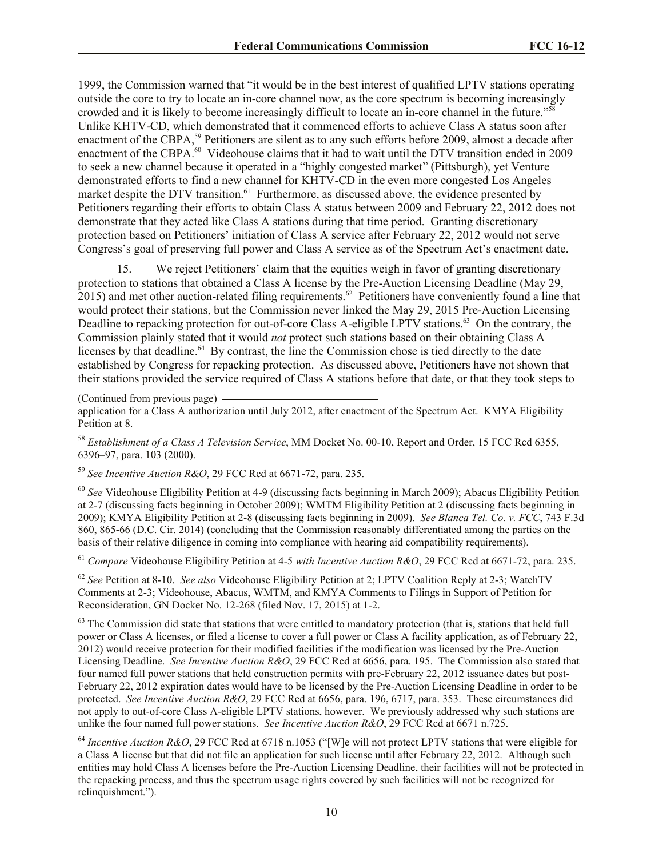1999, the Commission warned that "it would be in the best interest of qualified LPTV stations operating outside the core to try to locate an in-core channel now, as the core spectrum is becoming increasingly crowded and it is likely to become increasingly difficult to locate an in-core channel in the future."<sup>58</sup> Unlike KHTV-CD, which demonstrated that it commenced efforts to achieve Class A status soon after enactment of the CBPA,<sup>59</sup> Petitioners are silent as to any such efforts before 2009, almost a decade after enactment of the CBPA.<sup>60</sup> Videohouse claims that it had to wait until the DTV transition ended in 2009 to seek a new channel because it operated in a "highly congested market" (Pittsburgh), yet Venture demonstrated efforts to find a new channel for KHTV-CD in the even more congested Los Angeles market despite the DTV transition.<sup>61</sup> Furthermore, as discussed above, the evidence presented by Petitioners regarding their efforts to obtain Class A status between 2009 and February 22, 2012 does not demonstrate that they acted like Class A stations during that time period. Granting discretionary protection based on Petitioners' initiation of Class A service after February 22, 2012 would not serve Congress's goal of preserving full power and Class A service as of the Spectrum Act's enactment date.

15. We reject Petitioners' claim that the equities weigh in favor of granting discretionary protection to stations that obtained a Class A license by the Pre-Auction Licensing Deadline (May 29,  $2015$ ) and met other auction-related filing requirements.<sup>62</sup> Petitioners have conveniently found a line that would protect their stations, but the Commission never linked the May 29, 2015 Pre-Auction Licensing Deadline to repacking protection for out-of-core Class A-eligible LPTV stations.<sup>63</sup> On the contrary, the Commission plainly stated that it would *not* protect such stations based on their obtaining Class A licenses by that deadline.<sup>64</sup> By contrast, the line the Commission chose is tied directly to the date established by Congress for repacking protection. As discussed above, Petitioners have not shown that their stations provided the service required of Class A stations before that date, or that they took steps to

(Continued from previous page)

application for a Class A authorization until July 2012, after enactment of the Spectrum Act. KMYA Eligibility Petition at 8.

<sup>58</sup> *Establishment of a Class A Television Service*, MM Docket No. 00-10, Report and Order, 15 FCC Rcd 6355, 6396–97, para. 103 (2000).

<sup>59</sup> *See Incentive Auction R&O*, 29 FCC Rcd at 6671-72, para. 235.

<sup>60</sup> *See* Videohouse Eligibility Petition at 4-9 (discussing facts beginning in March 2009); Abacus Eligibility Petition at 2-7 (discussing facts beginning in October 2009); WMTM Eligibility Petition at 2 (discussing facts beginning in 2009); KMYA Eligibility Petition at 2-8 (discussing facts beginning in 2009). *See Blanca Tel. Co. v. FCC*, 743 F.3d 860, 865-66 (D.C. Cir. 2014) (concluding that the Commission reasonably differentiated among the parties on the basis of their relative diligence in coming into compliance with hearing aid compatibility requirements).

<sup>61</sup> *Compare* Videohouse Eligibility Petition at 4-5 *with Incentive Auction R&O*, 29 FCC Rcd at 6671-72, para. 235.

<sup>62</sup> *See* Petition at 8-10. *See also* Videohouse Eligibility Petition at 2; LPTV Coalition Reply at 2-3; WatchTV Comments at 2-3; Videohouse, Abacus, WMTM, and KMYA Comments to Filings in Support of Petition for Reconsideration, GN Docket No. 12-268 (filed Nov. 17, 2015) at 1-2.

 $63$  The Commission did state that stations that were entitled to mandatory protection (that is, stations that held full power or Class A licenses, or filed a license to cover a full power or Class A facility application, as of February 22, 2012) would receive protection for their modified facilities if the modification was licensed by the Pre-Auction Licensing Deadline. *See Incentive Auction R&O*, 29 FCC Rcd at 6656, para. 195. The Commission also stated that four named full power stations that held construction permits with pre-February 22, 2012 issuance dates but post-February 22, 2012 expiration dates would have to be licensed by the Pre-Auction Licensing Deadline in order to be protected. *See Incentive Auction R&O*, 29 FCC Rcd at 6656, para. 196, 6717, para. 353. These circumstances did not apply to out-of-core Class A-eligible LPTV stations, however. We previously addressed why such stations are unlike the four named full power stations. *See Incentive Auction R&O*, 29 FCC Rcd at 6671 n.725.

<sup>64</sup> *Incentive Auction R&O*, 29 FCC Rcd at 6718 n.1053 ("[W]e will not protect LPTV stations that were eligible for a Class A license but that did not file an application for such license until after February 22, 2012. Although such entities may hold Class A licenses before the Pre-Auction Licensing Deadline, their facilities will not be protected in the repacking process, and thus the spectrum usage rights covered by such facilities will not be recognized for relinquishment.").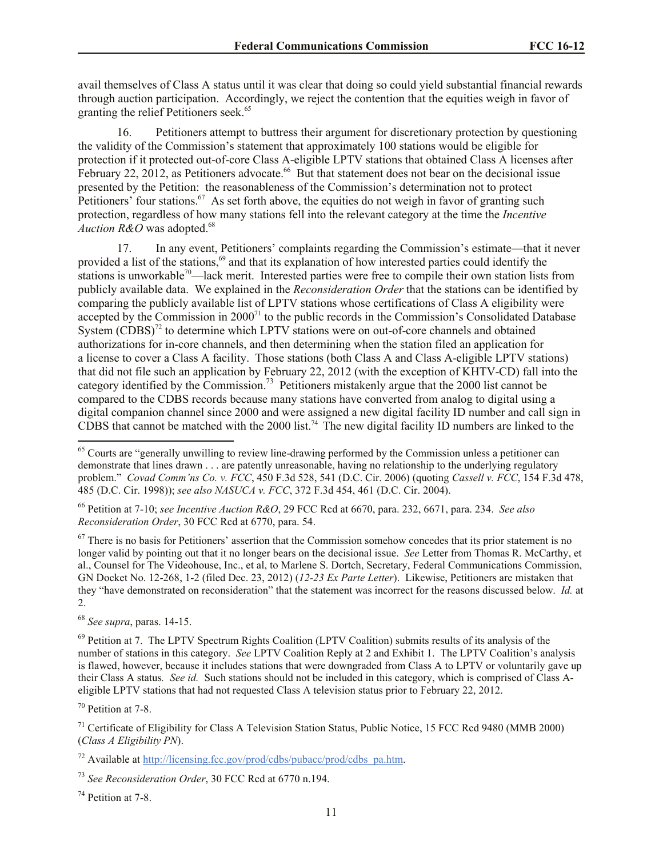avail themselves of Class A status until it was clear that doing so could yield substantial financial rewards through auction participation. Accordingly, we reject the contention that the equities weigh in favor of granting the relief Petitioners seek.<sup>65</sup>

16. Petitioners attempt to buttress their argument for discretionary protection by questioning the validity of the Commission's statement that approximately 100 stations would be eligible for protection if it protected out-of-core Class A-eligible LPTV stations that obtained Class A licenses after February 22, 2012, as Petitioners advocate.<sup>66</sup> But that statement does not bear on the decisional issue presented by the Petition: the reasonableness of the Commission's determination not to protect Petitioners' four stations.<sup>67</sup> As set forth above, the equities do not weigh in favor of granting such protection, regardless of how many stations fell into the relevant category at the time the *Incentive Auction R&O* was adopted.<sup>68</sup>

17. In any event, Petitioners' complaints regarding the Commission's estimate—that it never provided a list of the stations,<sup>69</sup> and that its explanation of how interested parties could identify the stations is unworkable<sup>70</sup>—lack merit. Interested parties were free to compile their own station lists from publicly available data. We explained in the *Reconsideration Order* that the stations can be identified by comparing the publicly available list of LPTV stations whose certifications of Class A eligibility were accepted by the Commission in 2000<sup>71</sup> to the public records in the Commission's Consolidated Database System  $(CDBS)<sup>72</sup>$  to determine which LPTV stations were on out-of-core channels and obtained authorizations for in-core channels, and then determining when the station filed an application for a license to cover a Class A facility. Those stations (both Class A and Class A-eligible LPTV stations) that did not file such an application by February 22, 2012 (with the exception of KHTV-CD) fall into the category identified by the Commission.<sup>73</sup> Petitioners mistakenly argue that the 2000 list cannot be compared to the CDBS records because many stations have converted from analog to digital using a digital companion channel since 2000 and were assigned a new digital facility ID number and call sign in CDBS that cannot be matched with the 2000 list.<sup>74</sup> The new digital facility ID numbers are linked to the  $\overline{a}$ 

<sup>66</sup> Petition at 7-10; *see Incentive Auction R&O*, 29 FCC Rcd at 6670, para. 232, 6671, para. 234. *See also Reconsideration Order*, 30 FCC Rcd at 6770, para. 54.

 $67$  There is no basis for Petitioners' assertion that the Commission somehow concedes that its prior statement is no longer valid by pointing out that it no longer bears on the decisional issue. *See* Letter from Thomas R. McCarthy, et al., Counsel for The Videohouse, Inc., et al, to Marlene S. Dortch, Secretary, Federal Communications Commission, GN Docket No. 12-268, 1-2 (filed Dec. 23, 2012) (*12-23 Ex Parte Letter*). Likewise, Petitioners are mistaken that they "have demonstrated on reconsideration" that the statement was incorrect for the reasons discussed below. *Id.* at 2.

<sup>68</sup> *See supra*, paras. 14-15.

<sup>70</sup> Petition at 7-8.

<sup>74</sup> Petition at 7-8.

<sup>&</sup>lt;sup>65</sup> Courts are "generally unwilling to review line-drawing performed by the Commission unless a petitioner can demonstrate that lines drawn . . . are patently unreasonable, having no relationship to the underlying regulatory problem." *Covad Comm'ns Co. v. FCC*, 450 F.3d 528, 541 (D.C. Cir. 2006) (quoting *Cassell v. FCC*, 154 F.3d 478, 485 (D.C. Cir. 1998)); *see also NASUCA v. FCC*, 372 F.3d 454, 461 (D.C. Cir. 2004).

 $69$  Petition at 7. The LPTV Spectrum Rights Coalition (LPTV Coalition) submits results of its analysis of the number of stations in this category. *See* LPTV Coalition Reply at 2 and Exhibit 1. The LPTV Coalition's analysis is flawed, however, because it includes stations that were downgraded from Class A to LPTV or voluntarily gave up their Class A status*. See id.* Such stations should not be included in this category, which is comprised of Class Aeligible LPTV stations that had not requested Class A television status prior to February 22, 2012.

<sup>&</sup>lt;sup>71</sup> Certificate of Eligibility for Class A Television Station Status, Public Notice, 15 FCC Rcd 9480 (MMB 2000) (*Class A Eligibility PN*).

 $72$  Available at http://licensing.fcc.gov/prod/cdbs/pubacc/prod/cdbs\_pa.htm.

<sup>73</sup> *See Reconsideration Order*, 30 FCC Rcd at 6770 n.194.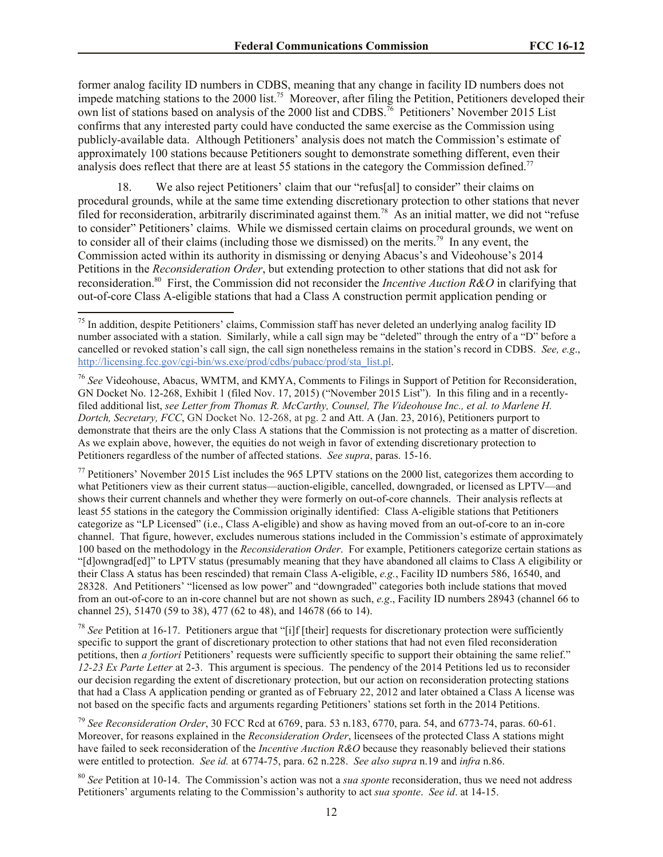former analog facility ID numbers in CDBS, meaning that any change in facility ID numbers does not impede matching stations to the 2000 list.<sup>75</sup> Moreover, after filing the Petition, Petitioners developed their own list of stations based on analysis of the 2000 list and CDBS.<sup>76</sup> Petitioners' November 2015 List confirms that any interested party could have conducted the same exercise as the Commission using publicly-available data. Although Petitioners' analysis does not match the Commission's estimate of approximately 100 stations because Petitioners sought to demonstrate something different, even their analysis does reflect that there are at least 55 stations in the category the Commission defined.<sup>77</sup>

18. We also reject Petitioners' claim that our "refus[al] to consider" their claims on procedural grounds, while at the same time extending discretionary protection to other stations that never filed for reconsideration, arbitrarily discriminated against them.<sup>78</sup> As an initial matter, we did not "refuse to consider" Petitioners' claims. While we dismissed certain claims on procedural grounds, we went on to consider all of their claims (including those we dismissed) on the merits.<sup>79</sup> In any event, the Commission acted within its authority in dismissing or denying Abacus's and Videohouse's 2014 Petitions in the *Reconsideration Order*, but extending protection to other stations that did not ask for reconsideration.<sup>80</sup> First, the Commission did not reconsider the *Incentive Auction R&O* in clarifying that out-of-core Class A-eligible stations that had a Class A construction permit application pending or

l

<sup>76</sup> *See* Videohouse, Abacus, WMTM, and KMYA, Comments to Filings in Support of Petition for Reconsideration, GN Docket No. 12-268, Exhibit 1 (filed Nov. 17, 2015) ("November 2015 List"). In this filing and in a recentlyfiled additional list, *see Letter from Thomas R. McCarthy, Counsel, The Videohouse Inc., et al. to Marlene H. Dortch, Secretary, FCC*, GN Docket No. 12-268, at pg. 2 and Att. A (Jan. 23, 2016), Petitioners purport to demonstrate that theirs are the only Class A stations that the Commission is not protecting as a matter of discretion. As we explain above, however, the equities do not weigh in favor of extending discretionary protection to Petitioners regardless of the number of affected stations. *See supra*, paras. 15-16.

 $77$  Petitioners' November 2015 List includes the 965 LPTV stations on the 2000 list, categorizes them according to what Petitioners view as their current status—auction-eligible, cancelled, downgraded, or licensed as LPTV—and shows their current channels and whether they were formerly on out-of-core channels. Their analysis reflects at least 55 stations in the category the Commission originally identified: Class A-eligible stations that Petitioners categorize as "LP Licensed" (i.e., Class A-eligible) and show as having moved from an out-of-core to an in-core channel. That figure, however, excludes numerous stations included in the Commission's estimate of approximately 100 based on the methodology in the *Reconsideration Order*. For example, Petitioners categorize certain stations as "[d]owngrad[ed]" to LPTV status (presumably meaning that they have abandoned all claims to Class A eligibility or their Class A status has been rescinded) that remain Class A-eligible, *e.g.*, Facility ID numbers 586, 16540, and 28328. And Petitioners' "licensed as low power" and "downgraded" categories both include stations that moved from an out-of-core to an in-core channel but are not shown as such, *e.g*., Facility ID numbers 28943 (channel 66 to channel 25), 51470 (59 to 38), 477 (62 to 48), and 14678 (66 to 14).

<sup>78</sup> *See* Petition at 16-17. Petitioners argue that "[i]f [their] requests for discretionary protection were sufficiently specific to support the grant of discretionary protection to other stations that had not even filed reconsideration petitions, then *a fortiori* Petitioners' requests were sufficiently specific to support their obtaining the same relief." *12-23 Ex Parte Letter* at 2-3. This argument is specious. The pendency of the 2014 Petitions led us to reconsider our decision regarding the extent of discretionary protection, but our action on reconsideration protecting stations that had a Class A application pending or granted as of February 22, 2012 and later obtained a Class A license was not based on the specific facts and arguments regarding Petitioners' stations set forth in the 2014 Petitions.

<sup>79</sup> *See Reconsideration Order*, 30 FCC Rcd at 6769, para. 53 n.183, 6770, para. 54, and 6773-74, paras. 60-61. Moreover, for reasons explained in the *Reconsideration Order*, licensees of the protected Class A stations might have failed to seek reconsideration of the *Incentive Auction R&O* because they reasonably believed their stations were entitled to protection. *See id.* at 6774-75, para. 62 n.228. *See also supra* n.19 and *infra* n.86.

<sup>80</sup> *See* Petition at 10-14. The Commission's action was not a *sua sponte* reconsideration, thus we need not address Petitioners' arguments relating to the Commission's authority to act *sua sponte*. *See id*. at 14-15.

 $75$  In addition, despite Petitioners' claims, Commission staff has never deleted an underlying analog facility ID number associated with a station. Similarly, while a call sign may be "deleted" through the entry of a "D" before a cancelled or revoked station's call sign, the call sign nonetheless remains in the station's record in CDBS. *See, e.g*., http://licensing.fcc.gov/cgi-bin/ws.exe/prod/cdbs/pubacc/prod/sta\_list.pl.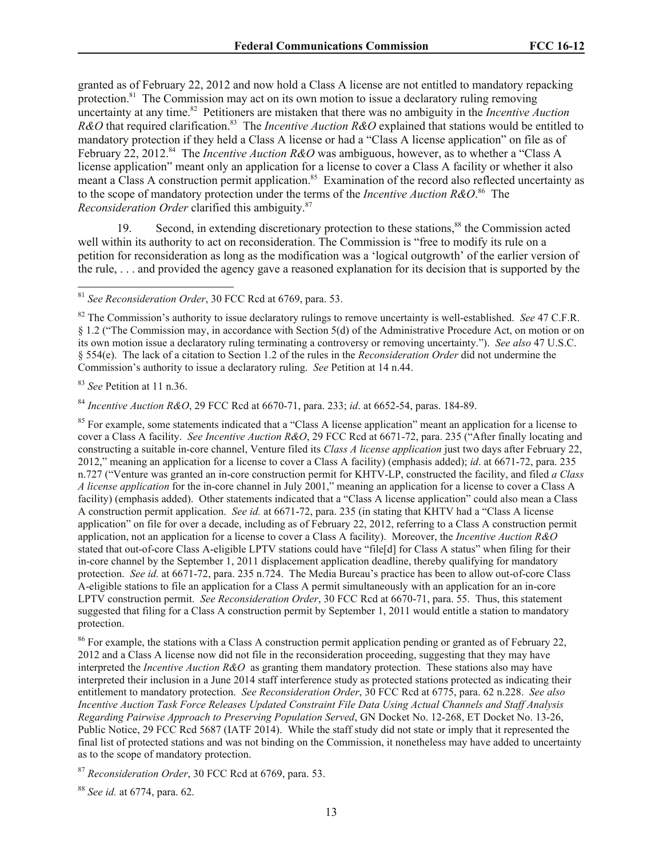granted as of February 22, 2012 and now hold a Class A license are not entitled to mandatory repacking protection.<sup>81</sup> The Commission may act on its own motion to issue a declaratory ruling removing uncertainty at any time.<sup>82</sup> Petitioners are mistaken that there was no ambiguity in the *Incentive Auction R&O* that required clarification.<sup>83</sup> The *Incentive Auction R&O* explained that stations would be entitled to mandatory protection if they held a Class A license or had a "Class A license application" on file as of February 22, 2012.<sup>84</sup> The *Incentive Auction R&O* was ambiguous, however, as to whether a "Class A license application" meant only an application for a license to cover a Class A facility or whether it also meant a Class A construction permit application.<sup>85</sup> Examination of the record also reflected uncertainty as to the scope of mandatory protection under the terms of the *Incentive Auction R&O*. 86 The *Reconsideration Order* clarified this ambiguity.<sup>87</sup>

19. Second, in extending discretionary protection to these stations,<sup>88</sup> the Commission acted well within its authority to act on reconsideration. The Commission is "free to modify its rule on a petition for reconsideration as long as the modification was a 'logical outgrowth' of the earlier version of the rule, . . . and provided the agency gave a reasoned explanation for its decision that is supported by the

<sup>83</sup> *See* Petition at 11 n.36.

l

<sup>84</sup> *Incentive Auction R&O*, 29 FCC Rcd at 6670-71, para. 233; *id*. at 6652-54, paras. 184-89.

<sup>85</sup> For example, some statements indicated that a "Class A license application" meant an application for a license to cover a Class A facility. *See Incentive Auction R&O*, 29 FCC Rcd at 6671-72, para. 235 ("After finally locating and constructing a suitable in-core channel, Venture filed its *Class A license application* just two days after February 22, 2012," meaning an application for a license to cover a Class A facility) (emphasis added); *id*. at 6671-72, para. 235 n.727 ("Venture was granted an in-core construction permit for KHTV-LP, constructed the facility, and filed *a Class A license application* for the in-core channel in July 2001," meaning an application for a license to cover a Class A facility) (emphasis added). Other statements indicated that a "Class A license application" could also mean a Class A construction permit application. *See id.* at 6671-72, para. 235 (in stating that KHTV had a "Class A license application" on file for over a decade, including as of February 22, 2012, referring to a Class A construction permit application, not an application for a license to cover a Class A facility). Moreover, the *Incentive Auction R&O* stated that out-of-core Class A-eligible LPTV stations could have "file[d] for Class A status" when filing for their in-core channel by the September 1, 2011 displacement application deadline, thereby qualifying for mandatory protection. *See id.* at 6671-72, para. 235 n.724. The Media Bureau's practice has been to allow out-of-core Class A-eligible stations to file an application for a Class A permit simultaneously with an application for an in-core LPTV construction permit. *See Reconsideration Order*, 30 FCC Rcd at 6670-71, para. 55. Thus, this statement suggested that filing for a Class A construction permit by September 1, 2011 would entitle a station to mandatory protection.

<sup>86</sup> For example, the stations with a Class A construction permit application pending or granted as of February 22, 2012 and a Class A license now did not file in the reconsideration proceeding, suggesting that they may have interpreted the *Incentive Auction R&O* as granting them mandatory protection. These stations also may have interpreted their inclusion in a June 2014 staff interference study as protected stations protected as indicating their entitlement to mandatory protection. *See Reconsideration Order*, 30 FCC Rcd at 6775, para. 62 n.228. *See also Incentive Auction Task Force Releases Updated Constraint File Data Using Actual Channels and Staff Analysis Regarding Pairwise Approach to Preserving Population Served*, GN Docket No. 12-268, ET Docket No. 13-26, Public Notice, 29 FCC Rcd 5687 (IATF 2014). While the staff study did not state or imply that it represented the final list of protected stations and was not binding on the Commission, it nonetheless may have added to uncertainty as to the scope of mandatory protection.

<sup>87</sup> *Reconsideration Order*, 30 FCC Rcd at 6769, para. 53.

<sup>88</sup> *See id.* at 6774, para. 62.

<sup>81</sup> *See Reconsideration Order*, 30 FCC Rcd at 6769, para. 53.

<sup>82</sup> The Commission's authority to issue declaratory rulings to remove uncertainty is well-established. *See* 47 C.F.R. § 1.2 ("The Commission may, in accordance with Section 5(d) of the Administrative Procedure Act, on motion or on its own motion issue a declaratory ruling terminating a controversy or removing uncertainty."). *See also* 47 U.S.C. § 554(e). The lack of a citation to Section 1.2 of the rules in the *Reconsideration Order* did not undermine the Commission's authority to issue a declaratory ruling. *See* Petition at 14 n.44.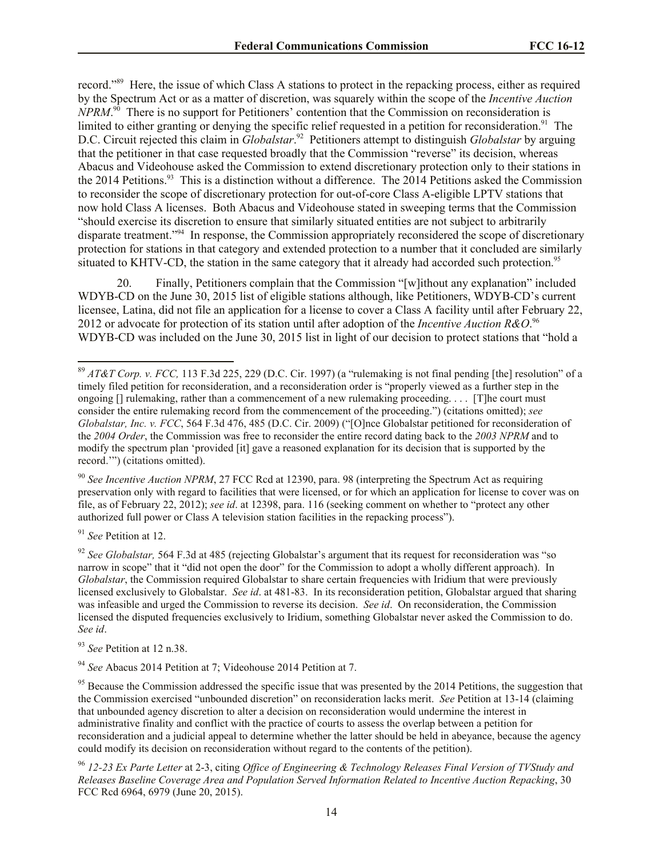record."<sup>89</sup> Here, the issue of which Class A stations to protect in the repacking process, either as required by the Spectrum Act or as a matter of discretion, was squarely within the scope of the *Incentive Auction NPRM*.<sup>90</sup> There is no support for Petitioners' contention that the Commission on reconsideration is limited to either granting or denying the specific relief requested in a petition for reconsideration.<sup>91</sup> The D.C. Circuit rejected this claim in *Globalstar*. 92 Petitioners attempt to distinguish *Globalstar* by arguing that the petitioner in that case requested broadly that the Commission "reverse" its decision, whereas Abacus and Videohouse asked the Commission to extend discretionary protection only to their stations in the 2014 Petitions.<sup>93</sup> This is a distinction without a difference. The 2014 Petitions asked the Commission to reconsider the scope of discretionary protection for out-of-core Class A-eligible LPTV stations that now hold Class A licenses. Both Abacus and Videohouse stated in sweeping terms that the Commission "should exercise its discretion to ensure that similarly situated entities are not subject to arbitrarily disparate treatment.<sup>294</sup> In response, the Commission appropriately reconsidered the scope of discretionary protection for stations in that category and extended protection to a number that it concluded are similarly situated to KHTV-CD, the station in the same category that it already had accorded such protection.<sup>95</sup>

20. Finally, Petitioners complain that the Commission "[w]ithout any explanation" included WDYB-CD on the June 30, 2015 list of eligible stations although, like Petitioners, WDYB-CD's current licensee, Latina, did not file an application for a license to cover a Class A facility until after February 22, 2012 or advocate for protection of its station until after adoption of the *Incentive Auction R&O*. 96 WDYB-CD was included on the June 30, 2015 list in light of our decision to protect stations that "hold a

<sup>90</sup> *See Incentive Auction NPRM*, 27 FCC Rcd at 12390, para. 98 (interpreting the Spectrum Act as requiring preservation only with regard to facilities that were licensed, or for which an application for license to cover was on file, as of February 22, 2012); *see id*. at 12398, para. 116 (seeking comment on whether to "protect any other authorized full power or Class A television station facilities in the repacking process").

<sup>91</sup> *See* Petition at 12.

l

<sup>92</sup> *See Globalstar*, 564 F.3d at 485 (rejecting Globalstar's argument that its request for reconsideration was "so narrow in scope" that it "did not open the door" for the Commission to adopt a wholly different approach). In *Globalstar*, the Commission required Globalstar to share certain frequencies with Iridium that were previously licensed exclusively to Globalstar. *See id*. at 481-83. In its reconsideration petition, Globalstar argued that sharing was infeasible and urged the Commission to reverse its decision. *See id*. On reconsideration, the Commission licensed the disputed frequencies exclusively to Iridium, something Globalstar never asked the Commission to do. *See id*.

<sup>93</sup> *See* Petition at 12 n.38.

<sup>94</sup> *See* Abacus 2014 Petition at 7; Videohouse 2014 Petition at 7.

 $95$  Because the Commission addressed the specific issue that was presented by the 2014 Petitions, the suggestion that the Commission exercised "unbounded discretion" on reconsideration lacks merit. *See* Petition at 13-14 (claiming that unbounded agency discretion to alter a decision on reconsideration would undermine the interest in administrative finality and conflict with the practice of courts to assess the overlap between a petition for reconsideration and a judicial appeal to determine whether the latter should be held in abeyance, because the agency could modify its decision on reconsideration without regard to the contents of the petition).

<sup>96</sup> *12-23 Ex Parte Letter* at 2-3, citing *Office of Engineering & Technology Releases Final Version of TVStudy and Releases Baseline Coverage Area and Population Served Information Related to Incentive Auction Repacking*, 30 FCC Rcd 6964, 6979 (June 20, 2015).

<sup>89</sup> *AT&T Corp. v. FCC,* 113 F.3d 225, 229 (D.C. Cir. 1997) (a "rulemaking is not final pending [the] resolution" of a timely filed petition for reconsideration, and a reconsideration order is "properly viewed as a further step in the ongoing [] rulemaking, rather than a commencement of a new rulemaking proceeding. . . . [T]he court must consider the entire rulemaking record from the commencement of the proceeding.") (citations omitted); *see Globalstar, Inc. v. FCC*, 564 F.3d 476, 485 (D.C. Cir. 2009) ("[O]nce Globalstar petitioned for reconsideration of the *2004 Order*, the Commission was free to reconsider the entire record dating back to the *2003 NPRM* and to modify the spectrum plan 'provided [it] gave a reasoned explanation for its decision that is supported by the record.'") (citations omitted).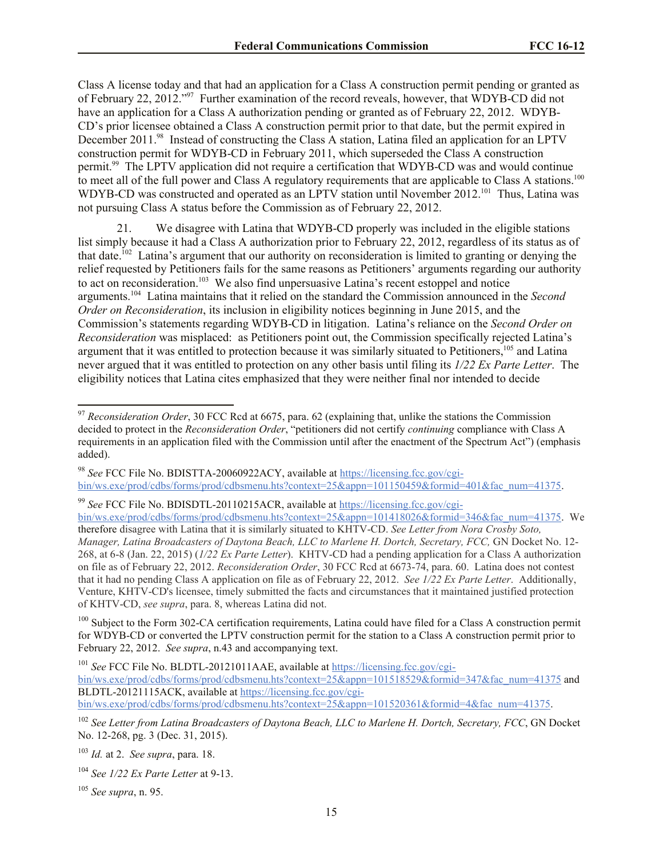Class A license today and that had an application for a Class A construction permit pending or granted as of February 22, 2012."<sup>97</sup> Further examination of the record reveals, however, that WDYB-CD did not have an application for a Class A authorization pending or granted as of February 22, 2012. WDYB-CD's prior licensee obtained a Class A construction permit prior to that date, but the permit expired in December 2011.<sup>98</sup> Instead of constructing the Class A station, Latina filed an application for an LPTV construction permit for WDYB-CD in February 2011, which superseded the Class A construction permit.<sup>99</sup> The LPTV application did not require a certification that WDYB-CD was and would continue to meet all of the full power and Class A regulatory requirements that are applicable to Class A stations.<sup>100</sup> WDYB-CD was constructed and operated as an LPTV station until November 2012.<sup>101</sup> Thus, Latina was not pursuing Class A status before the Commission as of February 22, 2012.

21. We disagree with Latina that WDYB-CD properly was included in the eligible stations list simply because it had a Class A authorization prior to February 22, 2012, regardless of its status as of that date.<sup>102</sup> Latina's argument that our authority on reconsideration is limited to granting or denying the relief requested by Petitioners fails for the same reasons as Petitioners' arguments regarding our authority to act on reconsideration.<sup>103</sup> We also find unpersuasive Latina's recent estoppel and notice arguments.<sup>104</sup> Latina maintains that it relied on the standard the Commission announced in the *Second Order on Reconsideration*, its inclusion in eligibility notices beginning in June 2015, and the Commission's statements regarding WDYB-CD in litigation. Latina's reliance on the *Second Order on Reconsideration* was misplaced: as Petitioners point out, the Commission specifically rejected Latina's argument that it was entitled to protection because it was similarly situated to Petitioners,<sup>105</sup> and Latina never argued that it was entitled to protection on any other basis until filing its *1/22 Ex Parte Letter*. The eligibility notices that Latina cites emphasized that they were neither final nor intended to decide

<sup>98</sup> *See* FCC File No. BDISTTA-20060922ACY, available at https://licensing.fcc.gov/cgibin/ws.exe/prod/cdbs/forms/prod/cdbsmenu.hts?context=25&appn=101150459&formid=401&fac\_num=41375.

<sup>99</sup> *See* FCC File No. BDISDTL-20110215ACR, available at https://licensing.fcc.gov/cgi-

bin/ws.exe/prod/cdbs/forms/prod/cdbsmenu.hts?context=25&appn=101418026&formid=346&fac\_num=41375. We therefore disagree with Latina that it is similarly situated to KHTV-CD. *See Letter from Nora Crosby Soto, Manager, Latina Broadcasters of Daytona Beach, LLC to Marlene H. Dortch, Secretary, FCC,* GN Docket No. 12- 268, at 6-8 (Jan. 22, 2015) (*1/22 Ex Parte Letter*).KHTV-CD had a pending application for a Class A authorization on file as of February 22, 2012. *Reconsideration Order*, 30 FCC Rcd at 6673-74, para. 60. Latina does not contest that it had no pending Class A application on file as of February 22, 2012. *See 1/22 Ex Parte Letter*. Additionally, Venture, KHTV-CD's licensee, timely submitted the facts and circumstances that it maintained justified protection of KHTV-CD, *see supra*, para. 8, whereas Latina did not.

<sup>100</sup> Subject to the Form 302-CA certification requirements, Latina could have filed for a Class A construction permit for WDYB-CD or converted the LPTV construction permit for the station to a Class A construction permit prior to February 22, 2012. *See supra*, n.43 and accompanying text.

<sup>101</sup> *See* FCC File No. BLDTL-20121011AAE, available at https://licensing.fcc.gov/cgi-

bin/ws.exe/prod/cdbs/forms/prod/cdbsmenu.hts?context=25&appn=101518529&formid=347&fac\_num=41375 and BLDTL-20121115ACK, available at https://licensing.fcc.gov/cgi-

bin/ws.exe/prod/cdbs/forms/prod/cdbsmenu.hts?context=25&appn=101520361&formid=4&fac\_num=41375.

<sup>102</sup> *See Letter from Latina Broadcasters of Daytona Beach, LLC to Marlene H. Dortch, Secretary, FCC*, GN Docket No. 12-268, pg. 3 (Dec. 31, 2015).

<sup>103</sup> *Id.* at 2. *See supra*, para. 18.

<sup>104</sup> *See 1/22 Ex Parte Letter* at 9-13.

<sup>105</sup> *See supra*, n. 95.

l

<sup>97</sup> *Reconsideration Order*, 30 FCC Rcd at 6675, para. 62 (explaining that, unlike the stations the Commission decided to protect in the *Reconsideration Order*, "petitioners did not certify *continuing* compliance with Class A requirements in an application filed with the Commission until after the enactment of the Spectrum Act") (emphasis added).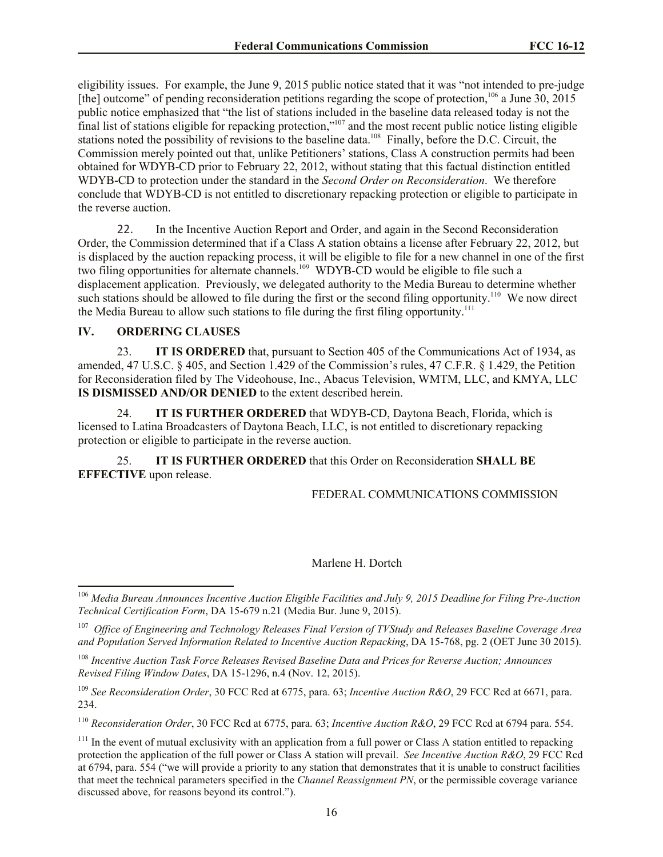eligibility issues. For example, the June 9, 2015 public notice stated that it was "not intended to pre-judge [the] outcome" of pending reconsideration petitions regarding the scope of protection,<sup>106</sup> a June  $30, 2015$ public notice emphasized that "the list of stations included in the baseline data released today is not the final list of stations eligible for repacking protection,"<sup>107</sup> and the most recent public notice listing eligible stations noted the possibility of revisions to the baseline data.<sup>108</sup> Finally, before the D.C. Circuit, the Commission merely pointed out that, unlike Petitioners' stations, Class A construction permits had been obtained for WDYB-CD prior to February 22, 2012, without stating that this factual distinction entitled WDYB-CD to protection under the standard in the *Second Order on Reconsideration*. We therefore conclude that WDYB-CD is not entitled to discretionary repacking protection or eligible to participate in the reverse auction.

22. In the Incentive Auction Report and Order, and again in the Second Reconsideration Order, the Commission determined that if a Class A station obtains a license after February 22, 2012, but is displaced by the auction repacking process, it will be eligible to file for a new channel in one of the first two filing opportunities for alternate channels.<sup>109</sup> WDYB-CD would be eligible to file such a displacement application. Previously, we delegated authority to the Media Bureau to determine whether such stations should be allowed to file during the first or the second filing opportunity.<sup>110</sup> We now direct the Media Bureau to allow such stations to file during the first filing opportunity.<sup>111</sup>

## **IV. ORDERING CLAUSES**

l

23. **IT IS ORDERED** that, pursuant to Section 405 of the Communications Act of 1934, as amended, 47 U.S.C. § 405, and Section 1.429 of the Commission's rules, 47 C.F.R. § 1.429, the Petition for Reconsideration filed by The Videohouse, Inc., Abacus Television, WMTM, LLC, and KMYA, LLC **IS DISMISSED AND/OR DENIED** to the extent described herein.

24. **IT IS FURTHER ORDERED** that WDYB-CD, Daytona Beach, Florida, which is licensed to Latina Broadcasters of Daytona Beach, LLC, is not entitled to discretionary repacking protection or eligible to participate in the reverse auction.

25. **IT IS FURTHER ORDERED** that this Order on Reconsideration **SHALL BE EFFECTIVE** upon release.

FEDERAL COMMUNICATIONS COMMISSION

## Marlene H. Dortch

<sup>110</sup> *Reconsideration Order*, 30 FCC Rcd at 6775, para. 63; *Incentive Auction R&O*, 29 FCC Rcd at 6794 para. 554.

<sup>106</sup> *Media Bureau Announces Incentive Auction Eligible Facilities and July 9, 2015 Deadline for Filing Pre-Auction Technical Certification Form*, DA 15-679 n.21 (Media Bur. June 9, 2015).

<sup>107</sup> *Office of Engineering and Technology Releases Final Version of TVStudy and Releases Baseline Coverage Area and Population Served Information Related to Incentive Auction Repacking*, DA 15-768, pg. 2 (OET June 30 2015).

<sup>108</sup> *Incentive Auction Task Force Releases Revised Baseline Data and Prices for Reverse Auction; Announces Revised Filing Window Dates*, DA 15-1296, n.4 (Nov. 12, 2015).

<sup>109</sup> *See Reconsideration Order*, 30 FCC Rcd at 6775, para. 63; *Incentive Auction R&O*, 29 FCC Rcd at 6671, para. 234.

 $111$  In the event of mutual exclusivity with an application from a full power or Class A station entitled to repacking protection the application of the full power or Class A station will prevail. *See Incentive Auction R&O*, 29 FCC Rcd at 6794, para. 554 ("we will provide a priority to any station that demonstrates that it is unable to construct facilities that meet the technical parameters specified in the *Channel Reassignment PN*, or the permissible coverage variance discussed above, for reasons beyond its control.").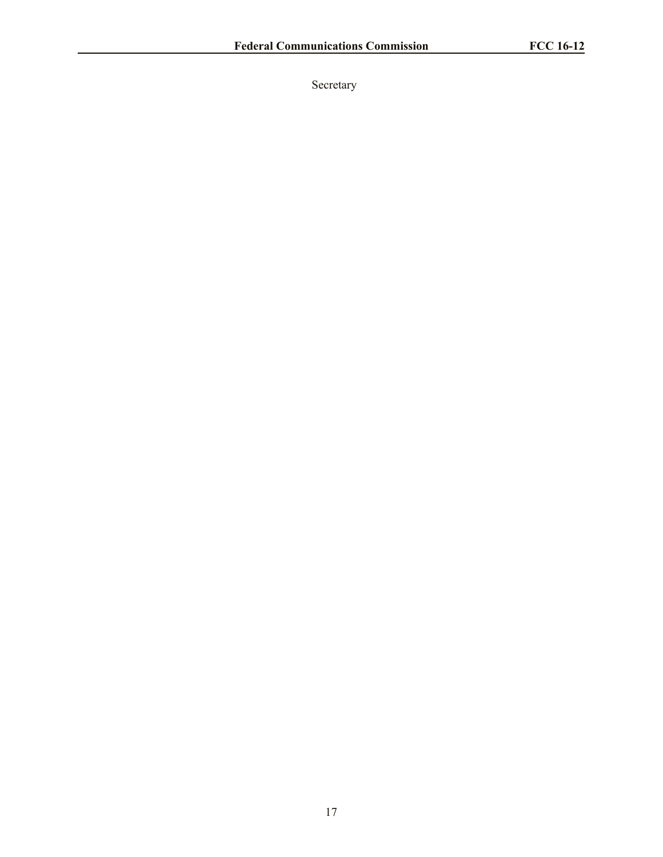Secretary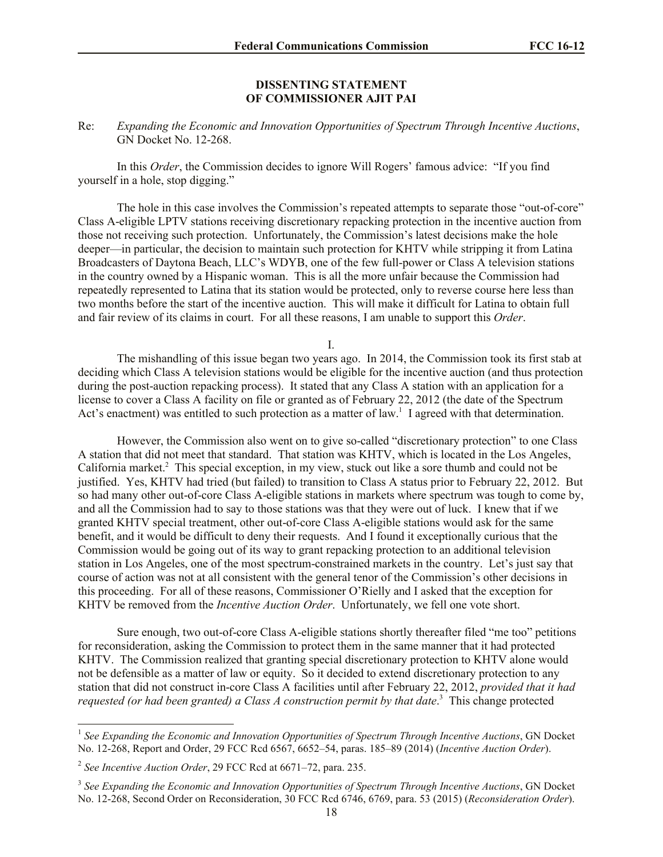## **DISSENTING STATEMENT OF COMMISSIONER AJIT PAI**

# Re: *Expanding the Economic and Innovation Opportunities of Spectrum Through Incentive Auctions*, GN Docket No. 12-268.

In this *Order*, the Commission decides to ignore Will Rogers' famous advice: "If you find yourself in a hole, stop digging."

The hole in this case involves the Commission's repeated attempts to separate those "out-of-core" Class A-eligible LPTV stations receiving discretionary repacking protection in the incentive auction from those not receiving such protection. Unfortunately, the Commission's latest decisions make the hole deeper—in particular, the decision to maintain such protection for KHTV while stripping it from Latina Broadcasters of Daytona Beach, LLC's WDYB, one of the few full-power or Class A television stations in the country owned by a Hispanic woman. This is all the more unfair because the Commission had repeatedly represented to Latina that its station would be protected, only to reverse course here less than two months before the start of the incentive auction. This will make it difficult for Latina to obtain full and fair review of its claims in court. For all these reasons, I am unable to support this *Order*.

I.

The mishandling of this issue began two years ago. In 2014, the Commission took its first stab at deciding which Class A television stations would be eligible for the incentive auction (and thus protection during the post-auction repacking process). It stated that any Class A station with an application for a license to cover a Class A facility on file or granted as of February 22, 2012 (the date of the Spectrum Act's enactment) was entitled to such protection as a matter of law.<sup>1</sup> I agreed with that determination.

However, the Commission also went on to give so-called "discretionary protection" to one Class A station that did not meet that standard. That station was KHTV, which is located in the Los Angeles, California market.<sup>2</sup> This special exception, in my view, stuck out like a sore thumb and could not be justified. Yes, KHTV had tried (but failed) to transition to Class A status prior to February 22, 2012. But so had many other out-of-core Class A-eligible stations in markets where spectrum was tough to come by, and all the Commission had to say to those stations was that they were out of luck. I knew that if we granted KHTV special treatment, other out-of-core Class A-eligible stations would ask for the same benefit, and it would be difficult to deny their requests. And I found it exceptionally curious that the Commission would be going out of its way to grant repacking protection to an additional television station in Los Angeles, one of the most spectrum-constrained markets in the country. Let's just say that course of action was not at all consistent with the general tenor of the Commission's other decisions in this proceeding. For all of these reasons, Commissioner O'Rielly and I asked that the exception for KHTV be removed from the *Incentive Auction Order*. Unfortunately, we fell one vote short.

Sure enough, two out-of-core Class A-eligible stations shortly thereafter filed "me too" petitions for reconsideration, asking the Commission to protect them in the same manner that it had protected KHTV. The Commission realized that granting special discretionary protection to KHTV alone would not be defensible as a matter of law or equity. So it decided to extend discretionary protection to any station that did not construct in-core Class A facilities until after February 22, 2012, *provided that it had requested (or had been granted) a Class A construction permit by that date*. 3 This change protected

 1 *See Expanding the Economic and Innovation Opportunities of Spectrum Through Incentive Auctions*, GN Docket No. 12-268, Report and Order, 29 FCC Rcd 6567, 6652–54, paras. 185–89 (2014) (*Incentive Auction Order*).

<sup>2</sup> *See Incentive Auction Order*, 29 FCC Rcd at 6671–72, para. 235.

<sup>3</sup> *See Expanding the Economic and Innovation Opportunities of Spectrum Through Incentive Auctions*, GN Docket No. 12-268, Second Order on Reconsideration, 30 FCC Rcd 6746, 6769, para. 53 (2015) (*Reconsideration Order*).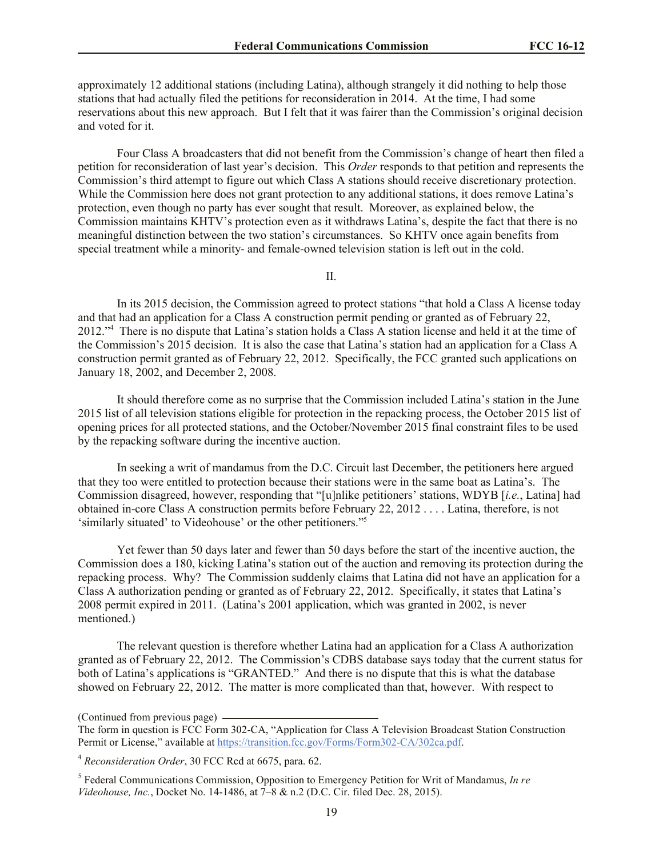approximately 12 additional stations (including Latina), although strangely it did nothing to help those stations that had actually filed the petitions for reconsideration in 2014. At the time, I had some reservations about this new approach. But I felt that it was fairer than the Commission's original decision and voted for it.

Four Class A broadcasters that did not benefit from the Commission's change of heart then filed a petition for reconsideration of last year's decision. This *Order* responds to that petition and represents the Commission's third attempt to figure out which Class A stations should receive discretionary protection. While the Commission here does not grant protection to any additional stations, it does remove Latina's protection, even though no party has ever sought that result. Moreover, as explained below, the Commission maintains KHTV's protection even as it withdraws Latina's, despite the fact that there is no meaningful distinction between the two station's circumstances. So KHTV once again benefits from special treatment while a minority- and female-owned television station is left out in the cold.

II.

In its 2015 decision, the Commission agreed to protect stations "that hold a Class A license today and that had an application for a Class A construction permit pending or granted as of February 22, 2012."<sup>4</sup> There is no dispute that Latina's station holds a Class A station license and held it at the time of the Commission's 2015 decision. It is also the case that Latina's station had an application for a Class A construction permit granted as of February 22, 2012. Specifically, the FCC granted such applications on January 18, 2002, and December 2, 2008.

It should therefore come as no surprise that the Commission included Latina's station in the June 2015 list of all television stations eligible for protection in the repacking process, the October 2015 list of opening prices for all protected stations, and the October/November 2015 final constraint files to be used by the repacking software during the incentive auction.

In seeking a writ of mandamus from the D.C. Circuit last December, the petitioners here argued that they too were entitled to protection because their stations were in the same boat as Latina's. The Commission disagreed, however, responding that "[u]nlike petitioners' stations, WDYB [*i.e.*, Latina] had obtained in-core Class A construction permits before February 22, 2012 . . . . Latina, therefore, is not 'similarly situated' to Videohouse' or the other petitioners."<sup>5</sup>

Yet fewer than 50 days later and fewer than 50 days before the start of the incentive auction, the Commission does a 180, kicking Latina's station out of the auction and removing its protection during the repacking process. Why? The Commission suddenly claims that Latina did not have an application for a Class A authorization pending or granted as of February 22, 2012. Specifically, it states that Latina's 2008 permit expired in 2011. (Latina's 2001 application, which was granted in 2002, is never mentioned.)

The relevant question is therefore whether Latina had an application for a Class A authorization granted as of February 22, 2012. The Commission's CDBS database says today that the current status for both of Latina's applications is "GRANTED." And there is no dispute that this is what the database showed on February 22, 2012. The matter is more complicated than that, however. With respect to

(Continued from previous page)

5 Federal Communications Commission, Opposition to Emergency Petition for Writ of Mandamus, *In re Videohouse, Inc.*, Docket No. 14-1486, at 7–8 & n.2 (D.C. Cir. filed Dec. 28, 2015).

The form in question is FCC Form 302-CA, "Application for Class A Television Broadcast Station Construction Permit or License," available at https://transition.fcc.gov/Forms/Form302-CA/302ca.pdf.

<sup>4</sup> *Reconsideration Order*, 30 FCC Rcd at 6675, para. 62.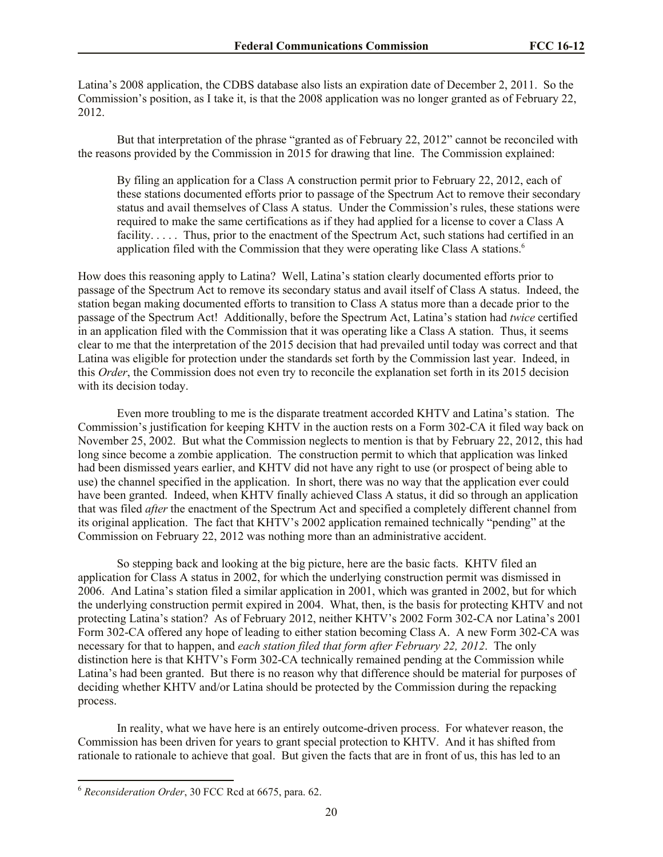Latina's 2008 application, the CDBS database also lists an expiration date of December 2, 2011. So the Commission's position, as I take it, is that the 2008 application was no longer granted as of February 22, 2012.

But that interpretation of the phrase "granted as of February 22, 2012" cannot be reconciled with the reasons provided by the Commission in 2015 for drawing that line. The Commission explained:

By filing an application for a Class A construction permit prior to February 22, 2012, each of these stations documented efforts prior to passage of the Spectrum Act to remove their secondary status and avail themselves of Class A status. Under the Commission's rules, these stations were required to make the same certifications as if they had applied for a license to cover a Class A facility. . . . . Thus, prior to the enactment of the Spectrum Act, such stations had certified in an application filed with the Commission that they were operating like Class A stations.<sup>6</sup>

How does this reasoning apply to Latina? Well, Latina's station clearly documented efforts prior to passage of the Spectrum Act to remove its secondary status and avail itself of Class A status. Indeed, the station began making documented efforts to transition to Class A status more than a decade prior to the passage of the Spectrum Act! Additionally, before the Spectrum Act, Latina's station had *twice* certified in an application filed with the Commission that it was operating like a Class A station. Thus, it seems clear to me that the interpretation of the 2015 decision that had prevailed until today was correct and that Latina was eligible for protection under the standards set forth by the Commission last year. Indeed, in this *Order*, the Commission does not even try to reconcile the explanation set forth in its 2015 decision with its decision today.

Even more troubling to me is the disparate treatment accorded KHTV and Latina's station. The Commission's justification for keeping KHTV in the auction rests on a Form 302-CA it filed way back on November 25, 2002. But what the Commission neglects to mention is that by February 22, 2012, this had long since become a zombie application. The construction permit to which that application was linked had been dismissed years earlier, and KHTV did not have any right to use (or prospect of being able to use) the channel specified in the application. In short, there was no way that the application ever could have been granted. Indeed, when KHTV finally achieved Class A status, it did so through an application that was filed *after* the enactment of the Spectrum Act and specified a completely different channel from its original application. The fact that KHTV's 2002 application remained technically "pending" at the Commission on February 22, 2012 was nothing more than an administrative accident.

So stepping back and looking at the big picture, here are the basic facts. KHTV filed an application for Class A status in 2002, for which the underlying construction permit was dismissed in 2006. And Latina's station filed a similar application in 2001, which was granted in 2002, but for which the underlying construction permit expired in 2004. What, then, is the basis for protecting KHTV and not protecting Latina's station? As of February 2012, neither KHTV's 2002 Form 302-CA nor Latina's 2001 Form 302-CA offered any hope of leading to either station becoming Class A. A new Form 302-CA was necessary for that to happen, and *each station filed that form after February 22, 2012*. The only distinction here is that KHTV's Form 302-CA technically remained pending at the Commission while Latina's had been granted. But there is no reason why that difference should be material for purposes of deciding whether KHTV and/or Latina should be protected by the Commission during the repacking process.

In reality, what we have here is an entirely outcome-driven process. For whatever reason, the Commission has been driven for years to grant special protection to KHTV. And it has shifted from rationale to rationale to achieve that goal. But given the facts that are in front of us, this has led to an

l

<sup>6</sup> *Reconsideration Order*, 30 FCC Rcd at 6675, para. 62.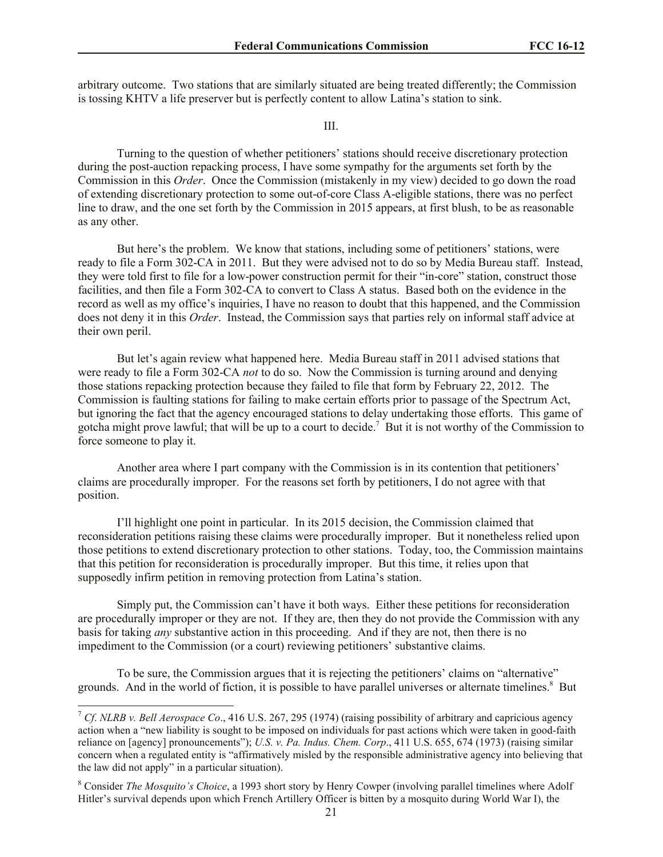arbitrary outcome. Two stations that are similarly situated are being treated differently; the Commission is tossing KHTV a life preserver but is perfectly content to allow Latina's station to sink.

#### III.

Turning to the question of whether petitioners' stations should receive discretionary protection during the post-auction repacking process, I have some sympathy for the arguments set forth by the Commission in this *Order*. Once the Commission (mistakenly in my view) decided to go down the road of extending discretionary protection to some out-of-core Class A-eligible stations, there was no perfect line to draw, and the one set forth by the Commission in 2015 appears, at first blush, to be as reasonable as any other.

But here's the problem. We know that stations, including some of petitioners' stations, were ready to file a Form 302-CA in 2011. But they were advised not to do so by Media Bureau staff. Instead, they were told first to file for a low-power construction permit for their "in-core" station, construct those facilities, and then file a Form 302-CA to convert to Class A status. Based both on the evidence in the record as well as my office's inquiries, I have no reason to doubt that this happened, and the Commission does not deny it in this *Order*. Instead, the Commission says that parties rely on informal staff advice at their own peril.

But let's again review what happened here. Media Bureau staff in 2011 advised stations that were ready to file a Form 302-CA *not* to do so. Now the Commission is turning around and denying those stations repacking protection because they failed to file that form by February 22, 2012. The Commission is faulting stations for failing to make certain efforts prior to passage of the Spectrum Act, but ignoring the fact that the agency encouraged stations to delay undertaking those efforts. This game of gotcha might prove lawful; that will be up to a court to decide.<sup>7</sup> But it is not worthy of the Commission to force someone to play it.

Another area where I part company with the Commission is in its contention that petitioners' claims are procedurally improper. For the reasons set forth by petitioners, I do not agree with that position.

I'll highlight one point in particular. In its 2015 decision, the Commission claimed that reconsideration petitions raising these claims were procedurally improper. But it nonetheless relied upon those petitions to extend discretionary protection to other stations. Today, too, the Commission maintains that this petition for reconsideration is procedurally improper. But this time, it relies upon that supposedly infirm petition in removing protection from Latina's station.

Simply put, the Commission can't have it both ways. Either these petitions for reconsideration are procedurally improper or they are not. If they are, then they do not provide the Commission with any basis for taking *any* substantive action in this proceeding. And if they are not, then there is no impediment to the Commission (or a court) reviewing petitioners' substantive claims.

To be sure, the Commission argues that it is rejecting the petitioners' claims on "alternative" grounds. And in the world of fiction, it is possible to have parallel universes or alternate timelines.<sup>8</sup> But

l

<sup>7</sup> *Cf*. *NLRB v. Bell Aerospace Co*., 416 U.S. 267, 295 (1974) (raising possibility of arbitrary and capricious agency action when a "new liability is sought to be imposed on individuals for past actions which were taken in good-faith reliance on [agency] pronouncements"); *U.S. v. Pa. Indus. Chem. Corp*., 411 U.S. 655, 674 (1973) (raising similar concern when a regulated entity is "affirmatively misled by the responsible administrative agency into believing that the law did not apply" in a particular situation).

<sup>8</sup> Consider *The Mosquito's Choice*, a 1993 short story by Henry Cowper (involving parallel timelines where Adolf Hitler's survival depends upon which French Artillery Officer is bitten by a mosquito during World War I), the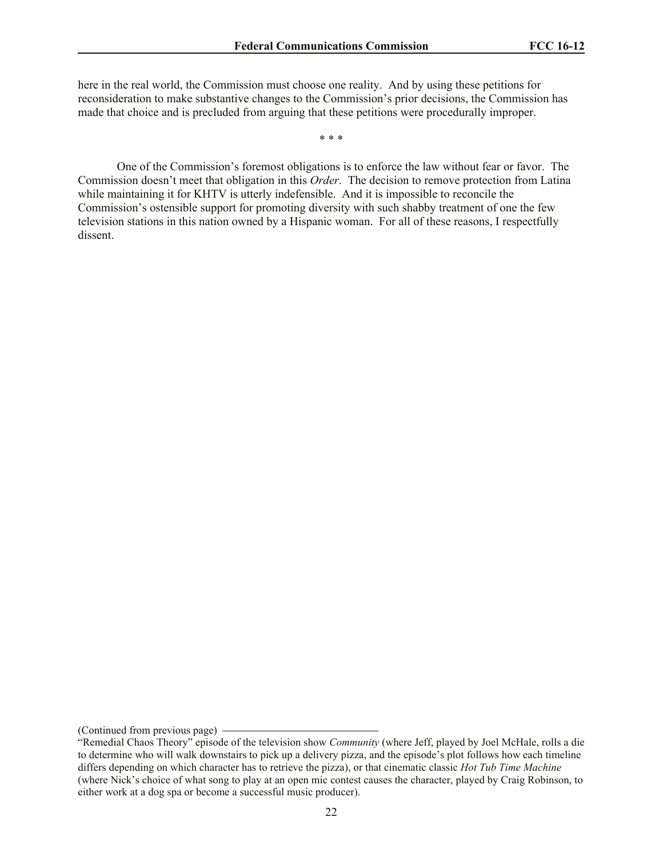here in the real world, the Commission must choose one reality. And by using these petitions for reconsideration to make substantive changes to the Commission's prior decisions, the Commission has made that choice and is precluded from arguing that these petitions were procedurally improper.

\* \* \*

One of the Commission's foremost obligations is to enforce the law without fear or favor. The Commission doesn't meet that obligation in this *Order*. The decision to remove protection from Latina while maintaining it for KHTV is utterly indefensible. And it is impossible to reconcile the Commission's ostensible support for promoting diversity with such shabby treatment of one the few television stations in this nation owned by a Hispanic woman. For all of these reasons, I respectfully dissent.

<sup>(</sup>Continued from previous page)

<sup>&</sup>quot;Remedial Chaos Theory" episode of the television show *Community* (where Jeff, played by Joel McHale, rolls a die to determine who will walk downstairs to pick up a delivery pizza, and the episode's plot follows how each timeline differs depending on which character has to retrieve the pizza), or that cinematic classic *Hot Tub Time Machine* (where Nick's choice of what song to play at an open mic contest causes the character, played by Craig Robinson, to either work at a dog spa or become a successful music producer).